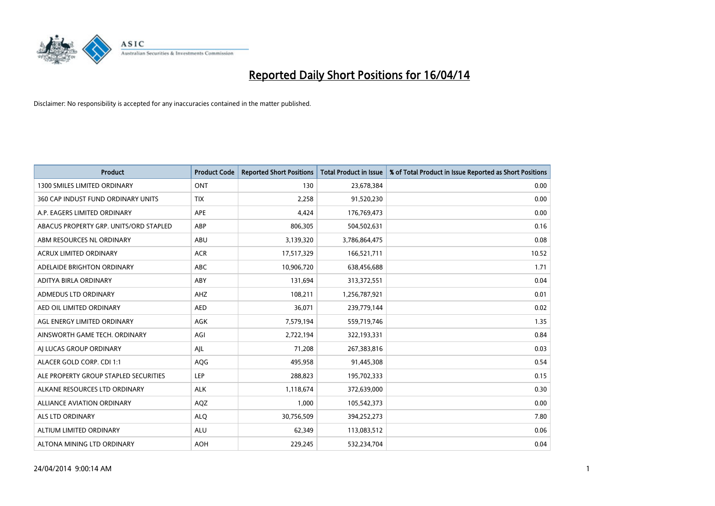

| <b>Product</b>                         | <b>Product Code</b> | <b>Reported Short Positions</b> | <b>Total Product in Issue</b> | % of Total Product in Issue Reported as Short Positions |
|----------------------------------------|---------------------|---------------------------------|-------------------------------|---------------------------------------------------------|
| <b>1300 SMILES LIMITED ORDINARY</b>    | <b>ONT</b>          | 130                             | 23,678,384                    | 0.00                                                    |
| 360 CAP INDUST FUND ORDINARY UNITS     | <b>TIX</b>          | 2,258                           | 91,520,230                    | 0.00                                                    |
| A.P. EAGERS LIMITED ORDINARY           | APE                 | 4,424                           | 176,769,473                   | 0.00                                                    |
| ABACUS PROPERTY GRP. UNITS/ORD STAPLED | ABP                 | 806,305                         | 504,502,631                   | 0.16                                                    |
| ABM RESOURCES NL ORDINARY              | ABU                 | 3,139,320                       | 3,786,864,475                 | 0.08                                                    |
| <b>ACRUX LIMITED ORDINARY</b>          | <b>ACR</b>          | 17,517,329                      | 166,521,711                   | 10.52                                                   |
| ADELAIDE BRIGHTON ORDINARY             | <b>ABC</b>          | 10,906,720                      | 638,456,688                   | 1.71                                                    |
| ADITYA BIRLA ORDINARY                  | ABY                 | 131,694                         | 313,372,551                   | 0.04                                                    |
| ADMEDUS LTD ORDINARY                   | AHZ                 | 108,211                         | 1,256,787,921                 | 0.01                                                    |
| AED OIL LIMITED ORDINARY               | <b>AED</b>          | 36,071                          | 239,779,144                   | 0.02                                                    |
| AGL ENERGY LIMITED ORDINARY            | AGK                 | 7,579,194                       | 559,719,746                   | 1.35                                                    |
| AINSWORTH GAME TECH. ORDINARY          | AGI                 | 2,722,194                       | 322,193,331                   | 0.84                                                    |
| AI LUCAS GROUP ORDINARY                | AJL                 | 71,208                          | 267,383,816                   | 0.03                                                    |
| ALACER GOLD CORP. CDI 1:1              | AQG                 | 495,958                         | 91,445,308                    | 0.54                                                    |
| ALE PROPERTY GROUP STAPLED SECURITIES  | <b>LEP</b>          | 288,823                         | 195,702,333                   | 0.15                                                    |
| ALKANE RESOURCES LTD ORDINARY          | <b>ALK</b>          | 1,118,674                       | 372,639,000                   | 0.30                                                    |
| ALLIANCE AVIATION ORDINARY             | AQZ                 | 1,000                           | 105,542,373                   | 0.00                                                    |
| <b>ALS LTD ORDINARY</b>                | <b>ALQ</b>          | 30,756,509                      | 394,252,273                   | 7.80                                                    |
| ALTIUM LIMITED ORDINARY                | <b>ALU</b>          | 62,349                          | 113,083,512                   | 0.06                                                    |
| ALTONA MINING LTD ORDINARY             | <b>AOH</b>          | 229,245                         | 532,234,704                   | 0.04                                                    |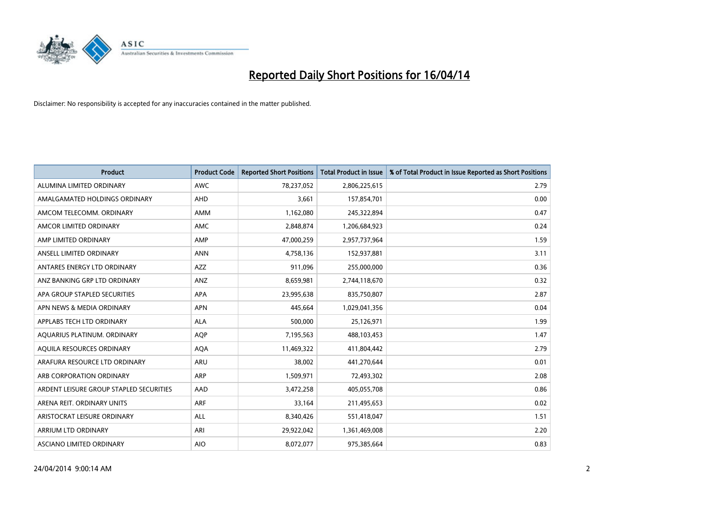

| <b>Product</b>                          | <b>Product Code</b> | <b>Reported Short Positions</b> | <b>Total Product in Issue</b> | % of Total Product in Issue Reported as Short Positions |
|-----------------------------------------|---------------------|---------------------------------|-------------------------------|---------------------------------------------------------|
| ALUMINA LIMITED ORDINARY                | <b>AWC</b>          | 78,237,052                      | 2,806,225,615                 | 2.79                                                    |
| AMALGAMATED HOLDINGS ORDINARY           | AHD                 | 3,661                           | 157,854,701                   | 0.00                                                    |
| AMCOM TELECOMM. ORDINARY                | AMM                 | 1,162,080                       | 245,322,894                   | 0.47                                                    |
| AMCOR LIMITED ORDINARY                  | AMC                 | 2,848,874                       | 1,206,684,923                 | 0.24                                                    |
| AMP LIMITED ORDINARY                    | AMP                 | 47,000,259                      | 2,957,737,964                 | 1.59                                                    |
| ANSELL LIMITED ORDINARY                 | <b>ANN</b>          | 4,758,136                       | 152,937,881                   | 3.11                                                    |
| ANTARES ENERGY LTD ORDINARY             | AZZ                 | 911,096                         | 255,000,000                   | 0.36                                                    |
| ANZ BANKING GRP LTD ORDINARY            | ANZ                 | 8,659,981                       | 2,744,118,670                 | 0.32                                                    |
| APA GROUP STAPLED SECURITIES            | APA                 | 23,995,638                      | 835,750,807                   | 2.87                                                    |
| APN NEWS & MEDIA ORDINARY               | <b>APN</b>          | 445,664                         | 1,029,041,356                 | 0.04                                                    |
| APPLABS TECH LTD ORDINARY               | <b>ALA</b>          | 500,000                         | 25,126,971                    | 1.99                                                    |
| AQUARIUS PLATINUM. ORDINARY             | <b>AOP</b>          | 7,195,563                       | 488,103,453                   | 1.47                                                    |
| AQUILA RESOURCES ORDINARY               | <b>AQA</b>          | 11,469,322                      | 411,804,442                   | 2.79                                                    |
| ARAFURA RESOURCE LTD ORDINARY           | <b>ARU</b>          | 38,002                          | 441,270,644                   | 0.01                                                    |
| ARB CORPORATION ORDINARY                | <b>ARP</b>          | 1,509,971                       | 72,493,302                    | 2.08                                                    |
| ARDENT LEISURE GROUP STAPLED SECURITIES | AAD                 | 3,472,258                       | 405,055,708                   | 0.86                                                    |
| ARENA REIT. ORDINARY UNITS              | <b>ARF</b>          | 33,164                          | 211,495,653                   | 0.02                                                    |
| ARISTOCRAT LEISURE ORDINARY             | ALL                 | 8,340,426                       | 551,418,047                   | 1.51                                                    |
| ARRIUM LTD ORDINARY                     | ARI                 | 29,922,042                      | 1,361,469,008                 | 2.20                                                    |
| ASCIANO LIMITED ORDINARY                | <b>AIO</b>          | 8,072,077                       | 975,385,664                   | 0.83                                                    |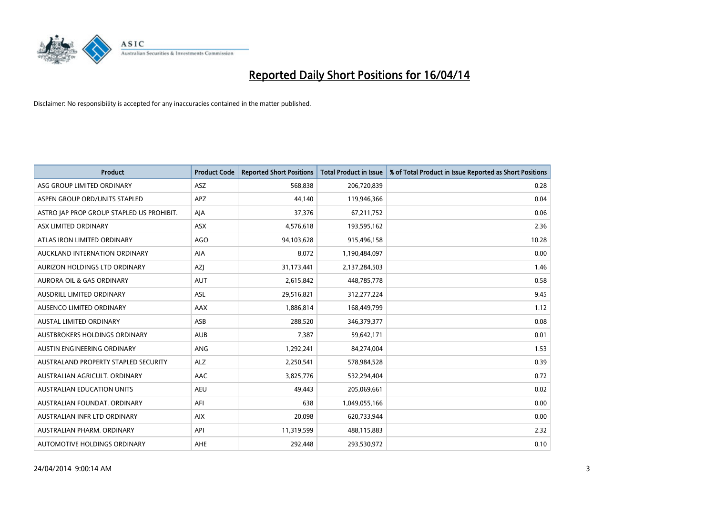

| <b>Product</b>                            | <b>Product Code</b> | <b>Reported Short Positions</b> | <b>Total Product in Issue</b> | % of Total Product in Issue Reported as Short Positions |
|-------------------------------------------|---------------------|---------------------------------|-------------------------------|---------------------------------------------------------|
| ASG GROUP LIMITED ORDINARY                | <b>ASZ</b>          | 568,838                         | 206,720,839                   | 0.28                                                    |
| ASPEN GROUP ORD/UNITS STAPLED             | APZ                 | 44,140                          | 119,946,366                   | 0.04                                                    |
| ASTRO JAP PROP GROUP STAPLED US PROHIBIT. | AJA                 | 37,376                          | 67,211,752                    | 0.06                                                    |
| ASX LIMITED ORDINARY                      | ASX                 | 4,576,618                       | 193,595,162                   | 2.36                                                    |
| ATLAS IRON LIMITED ORDINARY               | <b>AGO</b>          | 94,103,628                      | 915,496,158                   | 10.28                                                   |
| AUCKLAND INTERNATION ORDINARY             | <b>AIA</b>          | 8,072                           | 1,190,484,097                 | 0.00                                                    |
| AURIZON HOLDINGS LTD ORDINARY             | AZJ                 | 31,173,441                      | 2,137,284,503                 | 1.46                                                    |
| AURORA OIL & GAS ORDINARY                 | <b>AUT</b>          | 2,615,842                       | 448,785,778                   | 0.58                                                    |
| AUSDRILL LIMITED ORDINARY                 | <b>ASL</b>          | 29,516,821                      | 312,277,224                   | 9.45                                                    |
| AUSENCO LIMITED ORDINARY                  | AAX                 | 1,886,814                       | 168,449,799                   | 1.12                                                    |
| AUSTAL LIMITED ORDINARY                   | ASB                 | 288,520                         | 346,379,377                   | 0.08                                                    |
| <b>AUSTBROKERS HOLDINGS ORDINARY</b>      | <b>AUB</b>          | 7,387                           | 59,642,171                    | 0.01                                                    |
| AUSTIN ENGINEERING ORDINARY               | ANG                 | 1,292,241                       | 84,274,004                    | 1.53                                                    |
| AUSTRALAND PROPERTY STAPLED SECURITY      | <b>ALZ</b>          | 2,250,541                       | 578,984,528                   | 0.39                                                    |
| AUSTRALIAN AGRICULT, ORDINARY             | <b>AAC</b>          | 3,825,776                       | 532,294,404                   | 0.72                                                    |
| AUSTRALIAN EDUCATION UNITS                | <b>AEU</b>          | 49,443                          | 205,069,661                   | 0.02                                                    |
| AUSTRALIAN FOUNDAT. ORDINARY              | AFI                 | 638                             | 1,049,055,166                 | 0.00                                                    |
| AUSTRALIAN INFR LTD ORDINARY              | <b>AIX</b>          | 20,098                          | 620,733,944                   | 0.00                                                    |
| AUSTRALIAN PHARM, ORDINARY                | API                 | 11,319,599                      | 488,115,883                   | 2.32                                                    |
| AUTOMOTIVE HOLDINGS ORDINARY              | <b>AHE</b>          | 292,448                         | 293,530,972                   | 0.10                                                    |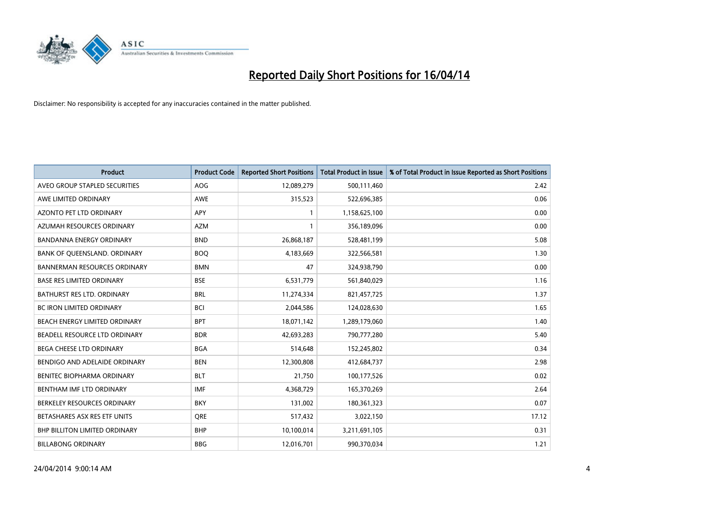

| <b>Product</b>                       | <b>Product Code</b> | <b>Reported Short Positions</b> | <b>Total Product in Issue</b> | % of Total Product in Issue Reported as Short Positions |
|--------------------------------------|---------------------|---------------------------------|-------------------------------|---------------------------------------------------------|
| AVEO GROUP STAPLED SECURITIES        | <b>AOG</b>          | 12,089,279                      | 500,111,460                   | 2.42                                                    |
| AWE LIMITED ORDINARY                 | AWE                 | 315,523                         | 522,696,385                   | 0.06                                                    |
| <b>AZONTO PET LTD ORDINARY</b>       | APY                 | 1                               | 1,158,625,100                 | 0.00                                                    |
| AZUMAH RESOURCES ORDINARY            | <b>AZM</b>          | $\mathbf{1}$                    | 356,189,096                   | 0.00                                                    |
| <b>BANDANNA ENERGY ORDINARY</b>      | <b>BND</b>          | 26,868,187                      | 528,481,199                   | 5.08                                                    |
| BANK OF QUEENSLAND. ORDINARY         | <b>BOO</b>          | 4,183,669                       | 322,566,581                   | 1.30                                                    |
| <b>BANNERMAN RESOURCES ORDINARY</b>  | <b>BMN</b>          | 47                              | 324,938,790                   | 0.00                                                    |
| <b>BASE RES LIMITED ORDINARY</b>     | <b>BSE</b>          | 6,531,779                       | 561,840,029                   | 1.16                                                    |
| <b>BATHURST RES LTD. ORDINARY</b>    | <b>BRL</b>          | 11,274,334                      | 821,457,725                   | 1.37                                                    |
| <b>BC IRON LIMITED ORDINARY</b>      | <b>BCI</b>          | 2,044,586                       | 124,028,630                   | 1.65                                                    |
| BEACH ENERGY LIMITED ORDINARY        | <b>BPT</b>          | 18,071,142                      | 1,289,179,060                 | 1.40                                                    |
| BEADELL RESOURCE LTD ORDINARY        | <b>BDR</b>          | 42,693,283                      | 790,777,280                   | 5.40                                                    |
| <b>BEGA CHEESE LTD ORDINARY</b>      | <b>BGA</b>          | 514,648                         | 152,245,802                   | 0.34                                                    |
| BENDIGO AND ADELAIDE ORDINARY        | <b>BEN</b>          | 12,300,808                      | 412,684,737                   | 2.98                                                    |
| BENITEC BIOPHARMA ORDINARY           | <b>BLT</b>          | 21,750                          | 100,177,526                   | 0.02                                                    |
| BENTHAM IMF LTD ORDINARY             | <b>IMF</b>          | 4,368,729                       | 165,370,269                   | 2.64                                                    |
| BERKELEY RESOURCES ORDINARY          | <b>BKY</b>          | 131,002                         | 180,361,323                   | 0.07                                                    |
| BETASHARES ASX RES ETF UNITS         | <b>ORE</b>          | 517,432                         | 3,022,150                     | 17.12                                                   |
| <b>BHP BILLITON LIMITED ORDINARY</b> | <b>BHP</b>          | 10,100,014                      | 3,211,691,105                 | 0.31                                                    |
| <b>BILLABONG ORDINARY</b>            | <b>BBG</b>          | 12,016,701                      | 990,370,034                   | 1.21                                                    |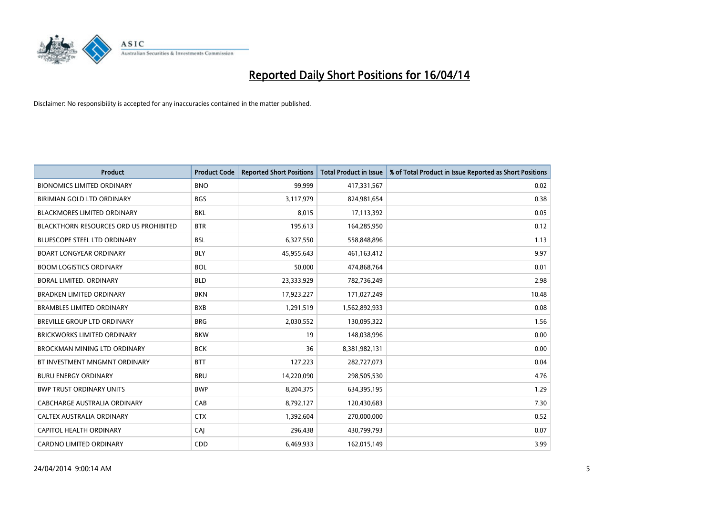

| <b>Product</b>                         | <b>Product Code</b> | <b>Reported Short Positions</b> | <b>Total Product in Issue</b> | % of Total Product in Issue Reported as Short Positions |
|----------------------------------------|---------------------|---------------------------------|-------------------------------|---------------------------------------------------------|
| <b>BIONOMICS LIMITED ORDINARY</b>      | <b>BNO</b>          | 99,999                          | 417,331,567                   | 0.02                                                    |
| BIRIMIAN GOLD LTD ORDINARY             | <b>BGS</b>          | 3,117,979                       | 824,981,654                   | 0.38                                                    |
| <b>BLACKMORES LIMITED ORDINARY</b>     | <b>BKL</b>          | 8,015                           | 17,113,392                    | 0.05                                                    |
| BLACKTHORN RESOURCES ORD US PROHIBITED | <b>BTR</b>          | 195,613                         | 164,285,950                   | 0.12                                                    |
| <b>BLUESCOPE STEEL LTD ORDINARY</b>    | <b>BSL</b>          | 6,327,550                       | 558,848,896                   | 1.13                                                    |
| <b>BOART LONGYEAR ORDINARY</b>         | <b>BLY</b>          | 45,955,643                      | 461,163,412                   | 9.97                                                    |
| <b>BOOM LOGISTICS ORDINARY</b>         | <b>BOL</b>          | 50,000                          | 474,868,764                   | 0.01                                                    |
| BORAL LIMITED, ORDINARY                | <b>BLD</b>          | 23,333,929                      | 782,736,249                   | 2.98                                                    |
| BRADKEN LIMITED ORDINARY               | <b>BKN</b>          | 17,923,227                      | 171,027,249                   | 10.48                                                   |
| <b>BRAMBLES LIMITED ORDINARY</b>       | <b>BXB</b>          | 1,291,519                       | 1,562,892,933                 | 0.08                                                    |
| BREVILLE GROUP LTD ORDINARY            | <b>BRG</b>          | 2,030,552                       | 130,095,322                   | 1.56                                                    |
| <b>BRICKWORKS LIMITED ORDINARY</b>     | <b>BKW</b>          | 19                              | 148,038,996                   | 0.00                                                    |
| BROCKMAN MINING LTD ORDINARY           | <b>BCK</b>          | 36                              | 8,381,982,131                 | 0.00                                                    |
| BT INVESTMENT MNGMNT ORDINARY          | <b>BTT</b>          | 127,223                         | 282,727,073                   | 0.04                                                    |
| <b>BURU ENERGY ORDINARY</b>            | <b>BRU</b>          | 14,220,090                      | 298,505,530                   | 4.76                                                    |
| <b>BWP TRUST ORDINARY UNITS</b>        | <b>BWP</b>          | 8,204,375                       | 634,395,195                   | 1.29                                                    |
| CABCHARGE AUSTRALIA ORDINARY           | CAB                 | 8,792,127                       | 120,430,683                   | 7.30                                                    |
| CALTEX AUSTRALIA ORDINARY              | <b>CTX</b>          | 1,392,604                       | 270,000,000                   | 0.52                                                    |
| CAPITOL HEALTH ORDINARY                | CAI                 | 296,438                         | 430,799,793                   | 0.07                                                    |
| <b>CARDNO LIMITED ORDINARY</b>         | CDD                 | 6,469,933                       | 162,015,149                   | 3.99                                                    |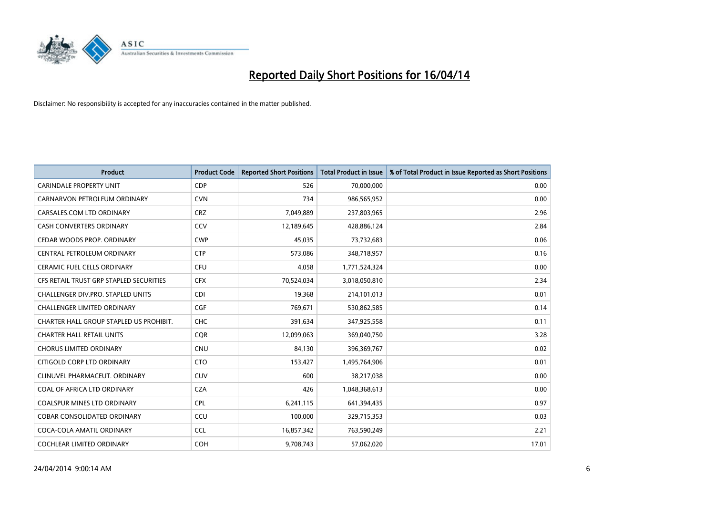

| <b>Product</b>                          | <b>Product Code</b> | <b>Reported Short Positions</b> | <b>Total Product in Issue</b> | % of Total Product in Issue Reported as Short Positions |
|-----------------------------------------|---------------------|---------------------------------|-------------------------------|---------------------------------------------------------|
| <b>CARINDALE PROPERTY UNIT</b>          | <b>CDP</b>          | 526                             | 70,000,000                    | 0.00                                                    |
| CARNARVON PETROLEUM ORDINARY            | <b>CVN</b>          | 734                             | 986,565,952                   | 0.00                                                    |
| CARSALES.COM LTD ORDINARY               | <b>CRZ</b>          | 7,049,889                       | 237,803,965                   | 2.96                                                    |
| CASH CONVERTERS ORDINARY                | CCV                 | 12,189,645                      | 428,886,124                   | 2.84                                                    |
| CEDAR WOODS PROP. ORDINARY              | <b>CWP</b>          | 45,035                          | 73,732,683                    | 0.06                                                    |
| CENTRAL PETROLEUM ORDINARY              | <b>CTP</b>          | 573,086                         | 348,718,957                   | 0.16                                                    |
| CERAMIC FUEL CELLS ORDINARY             | <b>CFU</b>          | 4,058                           | 1,771,524,324                 | 0.00                                                    |
| CFS RETAIL TRUST GRP STAPLED SECURITIES | <b>CFX</b>          | 70,524,034                      | 3,018,050,810                 | 2.34                                                    |
| CHALLENGER DIV.PRO. STAPLED UNITS       | <b>CDI</b>          | 19,368                          | 214,101,013                   | 0.01                                                    |
| <b>CHALLENGER LIMITED ORDINARY</b>      | <b>CGF</b>          | 769,671                         | 530,862,585                   | 0.14                                                    |
| CHARTER HALL GROUP STAPLED US PROHIBIT. | <b>CHC</b>          | 391,634                         | 347,925,558                   | 0.11                                                    |
| <b>CHARTER HALL RETAIL UNITS</b>        | <b>CQR</b>          | 12,099,063                      | 369,040,750                   | 3.28                                                    |
| <b>CHORUS LIMITED ORDINARY</b>          | <b>CNU</b>          | 84,130                          | 396,369,767                   | 0.02                                                    |
| CITIGOLD CORP LTD ORDINARY              | <b>CTO</b>          | 153,427                         | 1,495,764,906                 | 0.01                                                    |
| CLINUVEL PHARMACEUT, ORDINARY           | CUV                 | 600                             | 38,217,038                    | 0.00                                                    |
| COAL OF AFRICA LTD ORDINARY             | <b>CZA</b>          | 426                             | 1,048,368,613                 | 0.00                                                    |
| COALSPUR MINES LTD ORDINARY             | <b>CPL</b>          | 6,241,115                       | 641,394,435                   | 0.97                                                    |
| COBAR CONSOLIDATED ORDINARY             | CCU                 | 100,000                         | 329,715,353                   | 0.03                                                    |
| COCA-COLA AMATIL ORDINARY               | <b>CCL</b>          | 16,857,342                      | 763,590,249                   | 2.21                                                    |
| COCHLEAR LIMITED ORDINARY               | <b>COH</b>          | 9,708,743                       | 57,062,020                    | 17.01                                                   |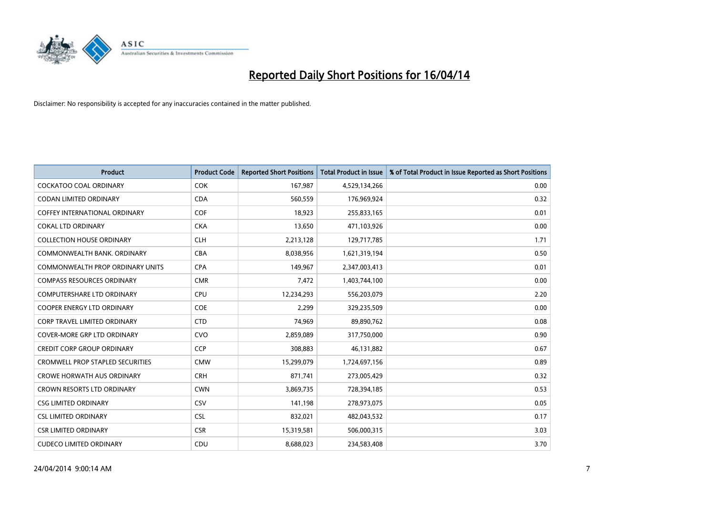

| <b>Product</b>                          | <b>Product Code</b> | <b>Reported Short Positions</b> | <b>Total Product in Issue</b> | % of Total Product in Issue Reported as Short Positions |
|-----------------------------------------|---------------------|---------------------------------|-------------------------------|---------------------------------------------------------|
| <b>COCKATOO COAL ORDINARY</b>           | <b>COK</b>          | 167,987                         | 4,529,134,266                 | 0.00                                                    |
| CODAN LIMITED ORDINARY                  | <b>CDA</b>          | 560,559                         | 176,969,924                   | 0.32                                                    |
| <b>COFFEY INTERNATIONAL ORDINARY</b>    | <b>COF</b>          | 18,923                          | 255,833,165                   | 0.01                                                    |
| <b>COKAL LTD ORDINARY</b>               | <b>CKA</b>          | 13,650                          | 471,103,926                   | 0.00                                                    |
| <b>COLLECTION HOUSE ORDINARY</b>        | <b>CLH</b>          | 2,213,128                       | 129,717,785                   | 1.71                                                    |
| COMMONWEALTH BANK, ORDINARY             | <b>CBA</b>          | 8,038,956                       | 1,621,319,194                 | 0.50                                                    |
| COMMONWEALTH PROP ORDINARY UNITS        | <b>CPA</b>          | 149,967                         | 2,347,003,413                 | 0.01                                                    |
| <b>COMPASS RESOURCES ORDINARY</b>       | <b>CMR</b>          | 7,472                           | 1,403,744,100                 | 0.00                                                    |
| <b>COMPUTERSHARE LTD ORDINARY</b>       | <b>CPU</b>          | 12,234,293                      | 556,203,079                   | 2.20                                                    |
| <b>COOPER ENERGY LTD ORDINARY</b>       | <b>COE</b>          | 2,299                           | 329,235,509                   | 0.00                                                    |
| CORP TRAVEL LIMITED ORDINARY            | <b>CTD</b>          | 74,969                          | 89,890,762                    | 0.08                                                    |
| <b>COVER-MORE GRP LTD ORDINARY</b>      | <b>CVO</b>          | 2,859,089                       | 317,750,000                   | 0.90                                                    |
| <b>CREDIT CORP GROUP ORDINARY</b>       | <b>CCP</b>          | 308,883                         | 46,131,882                    | 0.67                                                    |
| <b>CROMWELL PROP STAPLED SECURITIES</b> | <b>CMW</b>          | 15,299,079                      | 1,724,697,156                 | 0.89                                                    |
| <b>CROWE HORWATH AUS ORDINARY</b>       | <b>CRH</b>          | 871,741                         | 273,005,429                   | 0.32                                                    |
| <b>CROWN RESORTS LTD ORDINARY</b>       | <b>CWN</b>          | 3,869,735                       | 728,394,185                   | 0.53                                                    |
| <b>CSG LIMITED ORDINARY</b>             | CSV                 | 141,198                         | 278,973,075                   | 0.05                                                    |
| <b>CSL LIMITED ORDINARY</b>             | <b>CSL</b>          | 832,021                         | 482,043,532                   | 0.17                                                    |
| <b>CSR LIMITED ORDINARY</b>             | <b>CSR</b>          | 15,319,581                      | 506,000,315                   | 3.03                                                    |
| <b>CUDECO LIMITED ORDINARY</b>          | CDU                 | 8,688,023                       | 234,583,408                   | 3.70                                                    |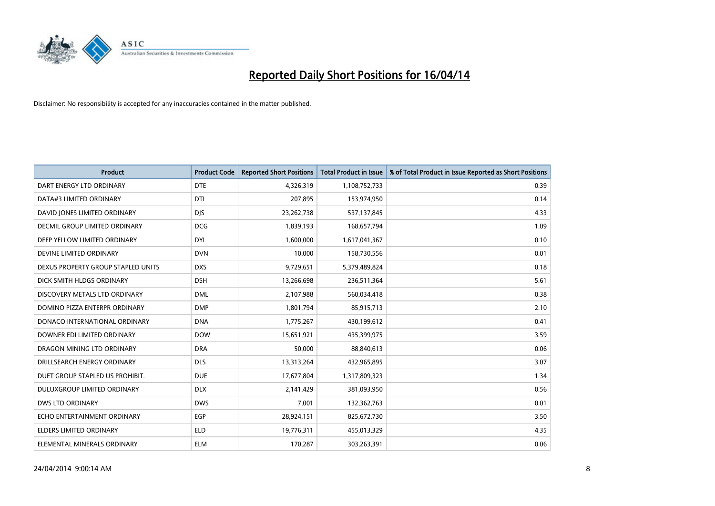

| <b>Product</b>                     | <b>Product Code</b> | <b>Reported Short Positions</b> | <b>Total Product in Issue</b> | % of Total Product in Issue Reported as Short Positions |
|------------------------------------|---------------------|---------------------------------|-------------------------------|---------------------------------------------------------|
| DART ENERGY LTD ORDINARY           | <b>DTE</b>          | 4,326,319                       | 1,108,752,733                 | 0.39                                                    |
| DATA#3 LIMITED ORDINARY            | <b>DTL</b>          | 207,895                         | 153,974,950                   | 0.14                                                    |
| DAVID JONES LIMITED ORDINARY       | <b>DJS</b>          | 23,262,738                      | 537,137,845                   | 4.33                                                    |
| DECMIL GROUP LIMITED ORDINARY      | <b>DCG</b>          | 1,839,193                       | 168,657,794                   | 1.09                                                    |
| DEEP YELLOW LIMITED ORDINARY       | <b>DYL</b>          | 1,600,000                       | 1,617,041,367                 | 0.10                                                    |
| DEVINE LIMITED ORDINARY            | <b>DVN</b>          | 10,000                          | 158,730,556                   | 0.01                                                    |
| DEXUS PROPERTY GROUP STAPLED UNITS | <b>DXS</b>          | 9,729,651                       | 5,379,489,824                 | 0.18                                                    |
| DICK SMITH HLDGS ORDINARY          | <b>DSH</b>          | 13,266,698                      | 236,511,364                   | 5.61                                                    |
| DISCOVERY METALS LTD ORDINARY      | <b>DML</b>          | 2,107,988                       | 560,034,418                   | 0.38                                                    |
| DOMINO PIZZA ENTERPR ORDINARY      | <b>DMP</b>          | 1,801,794                       | 85,915,713                    | 2.10                                                    |
| DONACO INTERNATIONAL ORDINARY      | <b>DNA</b>          | 1,775,267                       | 430,199,612                   | 0.41                                                    |
| DOWNER EDI LIMITED ORDINARY        | <b>DOW</b>          | 15,651,921                      | 435,399,975                   | 3.59                                                    |
| DRAGON MINING LTD ORDINARY         | <b>DRA</b>          | 50,000                          | 88,840,613                    | 0.06                                                    |
| DRILLSEARCH ENERGY ORDINARY        | <b>DLS</b>          | 13,313,264                      | 432,965,895                   | 3.07                                                    |
| DUET GROUP STAPLED US PROHIBIT.    | <b>DUE</b>          | 17,677,804                      | 1,317,809,323                 | 1.34                                                    |
| <b>DULUXGROUP LIMITED ORDINARY</b> | <b>DLX</b>          | 2,141,429                       | 381,093,950                   | 0.56                                                    |
| <b>DWS LTD ORDINARY</b>            | <b>DWS</b>          | 7,001                           | 132,362,763                   | 0.01                                                    |
| ECHO ENTERTAINMENT ORDINARY        | <b>EGP</b>          | 28,924,151                      | 825,672,730                   | 3.50                                                    |
| <b>ELDERS LIMITED ORDINARY</b>     | <b>ELD</b>          | 19,776,311                      | 455,013,329                   | 4.35                                                    |
| ELEMENTAL MINERALS ORDINARY        | <b>ELM</b>          | 170,287                         | 303,263,391                   | 0.06                                                    |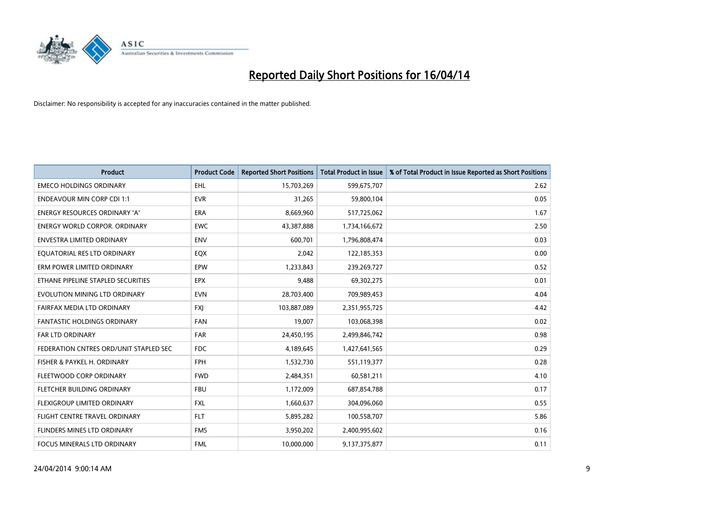

| <b>Product</b>                         | <b>Product Code</b> | <b>Reported Short Positions</b> | <b>Total Product in Issue</b> | % of Total Product in Issue Reported as Short Positions |
|----------------------------------------|---------------------|---------------------------------|-------------------------------|---------------------------------------------------------|
| <b>EMECO HOLDINGS ORDINARY</b>         | <b>EHL</b>          | 15,703,269                      | 599,675,707                   | 2.62                                                    |
| <b>ENDEAVOUR MIN CORP CDI 1:1</b>      | <b>EVR</b>          | 31,265                          | 59,800,104                    | 0.05                                                    |
| <b>ENERGY RESOURCES ORDINARY 'A'</b>   | <b>ERA</b>          | 8,669,960                       | 517,725,062                   | 1.67                                                    |
| ENERGY WORLD CORPOR. ORDINARY          | <b>EWC</b>          | 43,387,888                      | 1,734,166,672                 | 2.50                                                    |
| <b>ENVESTRA LIMITED ORDINARY</b>       | <b>ENV</b>          | 600,701                         | 1,796,808,474                 | 0.03                                                    |
| EQUATORIAL RES LTD ORDINARY            | EQX                 | 2,042                           | 122,185,353                   | 0.00                                                    |
| ERM POWER LIMITED ORDINARY             | <b>EPW</b>          | 1,233,843                       | 239,269,727                   | 0.52                                                    |
| ETHANE PIPELINE STAPLED SECURITIES     | <b>EPX</b>          | 9,488                           | 69,302,275                    | 0.01                                                    |
| EVOLUTION MINING LTD ORDINARY          | <b>EVN</b>          | 28,703,400                      | 709,989,453                   | 4.04                                                    |
| FAIRFAX MEDIA LTD ORDINARY             | <b>FXI</b>          | 103,887,089                     | 2,351,955,725                 | 4.42                                                    |
| FANTASTIC HOLDINGS ORDINARY            | <b>FAN</b>          | 19,007                          | 103,068,398                   | 0.02                                                    |
| <b>FAR LTD ORDINARY</b>                | <b>FAR</b>          | 24,450,195                      | 2,499,846,742                 | 0.98                                                    |
| FEDERATION CNTRES ORD/UNIT STAPLED SEC | <b>FDC</b>          | 4,189,645                       | 1,427,641,565                 | 0.29                                                    |
| FISHER & PAYKEL H. ORDINARY            | <b>FPH</b>          | 1,532,730                       | 551,119,377                   | 0.28                                                    |
| FLEETWOOD CORP ORDINARY                | <b>FWD</b>          | 2,484,351                       | 60,581,211                    | 4.10                                                    |
| FLETCHER BUILDING ORDINARY             | <b>FBU</b>          | 1,172,009                       | 687,854,788                   | 0.17                                                    |
| FLEXIGROUP LIMITED ORDINARY            | FXL                 | 1,660,637                       | 304,096,060                   | 0.55                                                    |
| FLIGHT CENTRE TRAVEL ORDINARY          | <b>FLT</b>          | 5,895,282                       | 100,558,707                   | 5.86                                                    |
| FLINDERS MINES LTD ORDINARY            | <b>FMS</b>          | 3,950,202                       | 2,400,995,602                 | 0.16                                                    |
| FOCUS MINERALS LTD ORDINARY            | <b>FML</b>          | 10,000,000                      | 9,137,375,877                 | 0.11                                                    |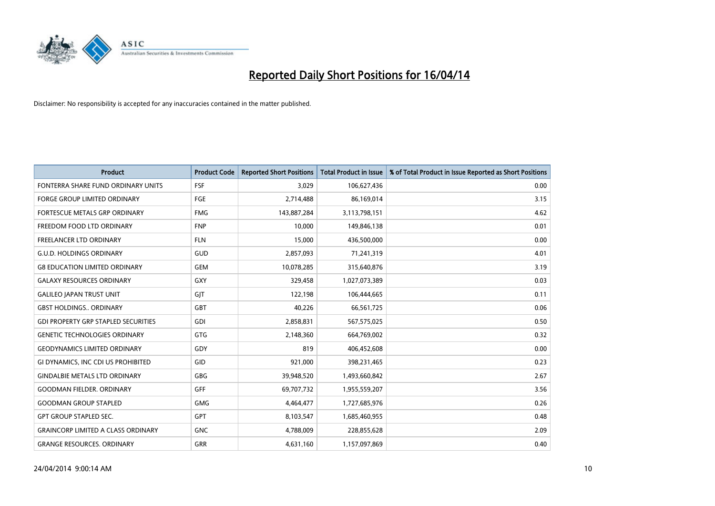

| <b>Product</b>                             | <b>Product Code</b> | <b>Reported Short Positions</b> | <b>Total Product in Issue</b> | % of Total Product in Issue Reported as Short Positions |
|--------------------------------------------|---------------------|---------------------------------|-------------------------------|---------------------------------------------------------|
| FONTERRA SHARE FUND ORDINARY UNITS         | <b>FSF</b>          | 3,029                           | 106,627,436                   | 0.00                                                    |
| <b>FORGE GROUP LIMITED ORDINARY</b>        | FGE                 | 2,714,488                       | 86,169,014                    | 3.15                                                    |
| FORTESCUE METALS GRP ORDINARY              | <b>FMG</b>          | 143,887,284                     | 3,113,798,151                 | 4.62                                                    |
| FREEDOM FOOD LTD ORDINARY                  | <b>FNP</b>          | 10,000                          | 149,846,138                   | 0.01                                                    |
| FREELANCER LTD ORDINARY                    | <b>FLN</b>          | 15,000                          | 436,500,000                   | 0.00                                                    |
| <b>G.U.D. HOLDINGS ORDINARY</b>            | GUD                 | 2,857,093                       | 71,241,319                    | 4.01                                                    |
| <b>G8 EDUCATION LIMITED ORDINARY</b>       | GEM                 | 10,078,285                      | 315,640,876                   | 3.19                                                    |
| <b>GALAXY RESOURCES ORDINARY</b>           | GXY                 | 329,458                         | 1,027,073,389                 | 0.03                                                    |
| <b>GALILEO JAPAN TRUST UNIT</b>            | GJT                 | 122,198                         | 106,444,665                   | 0.11                                                    |
| <b>GBST HOLDINGS ORDINARY</b>              | GBT                 | 40,226                          | 66,561,725                    | 0.06                                                    |
| <b>GDI PROPERTY GRP STAPLED SECURITIES</b> | GDI                 | 2,858,831                       | 567,575,025                   | 0.50                                                    |
| <b>GENETIC TECHNOLOGIES ORDINARY</b>       | GTG                 | 2,148,360                       | 664,769,002                   | 0.32                                                    |
| <b>GEODYNAMICS LIMITED ORDINARY</b>        | GDY                 | 819                             | 406,452,608                   | 0.00                                                    |
| GI DYNAMICS, INC CDI US PROHIBITED         | <b>GID</b>          | 921,000                         | 398,231,465                   | 0.23                                                    |
| <b>GINDALBIE METALS LTD ORDINARY</b>       | GBG                 | 39,948,520                      | 1,493,660,842                 | 2.67                                                    |
| <b>GOODMAN FIELDER, ORDINARY</b>           | <b>GFF</b>          | 69,707,732                      | 1,955,559,207                 | 3.56                                                    |
| <b>GOODMAN GROUP STAPLED</b>               | GMG                 | 4,464,477                       | 1,727,685,976                 | 0.26                                                    |
| <b>GPT GROUP STAPLED SEC.</b>              | <b>GPT</b>          | 8,103,547                       | 1,685,460,955                 | 0.48                                                    |
| <b>GRAINCORP LIMITED A CLASS ORDINARY</b>  | <b>GNC</b>          | 4,788,009                       | 228,855,628                   | 2.09                                                    |
| <b>GRANGE RESOURCES. ORDINARY</b>          | GRR                 | 4,631,160                       | 1,157,097,869                 | 0.40                                                    |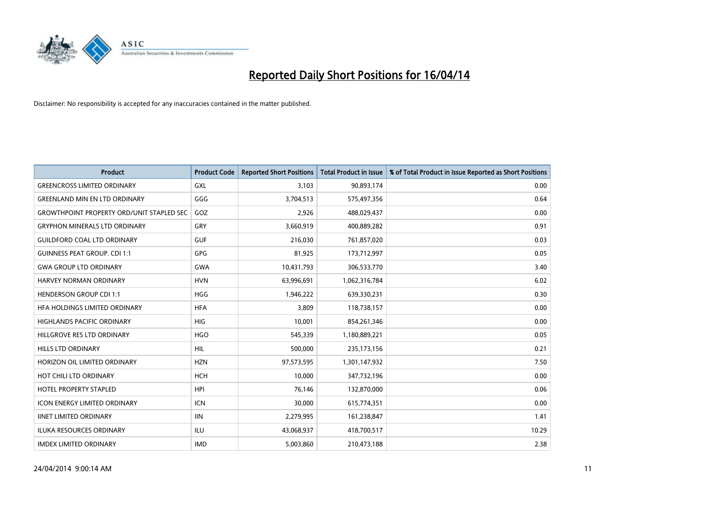

| <b>Product</b>                                   | <b>Product Code</b> | <b>Reported Short Positions</b> | <b>Total Product in Issue</b> | % of Total Product in Issue Reported as Short Positions |
|--------------------------------------------------|---------------------|---------------------------------|-------------------------------|---------------------------------------------------------|
| <b>GREENCROSS LIMITED ORDINARY</b>               | <b>GXL</b>          | 3,103                           | 90,893,174                    | 0.00                                                    |
| <b>GREENLAND MIN EN LTD ORDINARY</b>             | GGG                 | 3,704,513                       | 575,497,356                   | 0.64                                                    |
| <b>GROWTHPOINT PROPERTY ORD/UNIT STAPLED SEC</b> | GOZ                 | 2,926                           | 488,029,437                   | 0.00                                                    |
| <b>GRYPHON MINERALS LTD ORDINARY</b>             | GRY                 | 3,660,919                       | 400,889,282                   | 0.91                                                    |
| <b>GUILDFORD COAL LTD ORDINARY</b>               | <b>GUF</b>          | 216,030                         | 761,857,020                   | 0.03                                                    |
| <b>GUINNESS PEAT GROUP. CDI 1:1</b>              | <b>GPG</b>          | 81,925                          | 173,712,997                   | 0.05                                                    |
| <b>GWA GROUP LTD ORDINARY</b>                    | <b>GWA</b>          | 10,431,793                      | 306,533,770                   | 3.40                                                    |
| HARVEY NORMAN ORDINARY                           | <b>HVN</b>          | 63,996,691                      | 1,062,316,784                 | 6.02                                                    |
| <b>HENDERSON GROUP CDI 1:1</b>                   | <b>HGG</b>          | 1,946,222                       | 639,330,231                   | 0.30                                                    |
| HFA HOLDINGS LIMITED ORDINARY                    | <b>HFA</b>          | 3,809                           | 118,738,157                   | 0.00                                                    |
| HIGHLANDS PACIFIC ORDINARY                       | <b>HIG</b>          | 10,001                          | 854,261,346                   | 0.00                                                    |
| HILLGROVE RES LTD ORDINARY                       | <b>HGO</b>          | 545,339                         | 1,180,889,221                 | 0.05                                                    |
| HILLS LTD ORDINARY                               | HIL                 | 500,000                         | 235,173,156                   | 0.21                                                    |
| HORIZON OIL LIMITED ORDINARY                     | <b>HZN</b>          | 97,573,595                      | 1,301,147,932                 | 7.50                                                    |
| HOT CHILI LTD ORDINARY                           | <b>HCH</b>          | 10,000                          | 347,732,196                   | 0.00                                                    |
| HOTEL PROPERTY STAPLED                           | <b>HPI</b>          | 76,146                          | 132,870,000                   | 0.06                                                    |
| ICON ENERGY LIMITED ORDINARY                     | <b>ICN</b>          | 30,000                          | 615,774,351                   | 0.00                                                    |
| <b>IINET LIMITED ORDINARY</b>                    | <b>IIN</b>          | 2,279,995                       | 161,238,847                   | 1.41                                                    |
| <b>ILUKA RESOURCES ORDINARY</b>                  | ILU                 | 43,068,937                      | 418,700,517                   | 10.29                                                   |
| <b>IMDEX LIMITED ORDINARY</b>                    | <b>IMD</b>          | 5,003,860                       | 210,473,188                   | 2.38                                                    |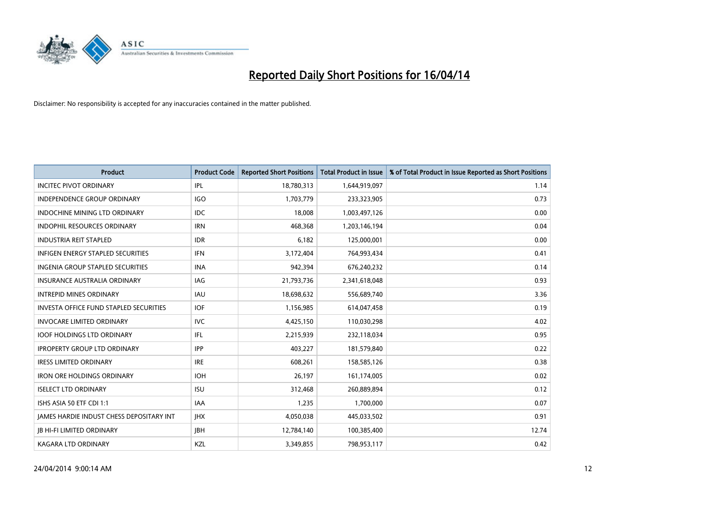

| <b>Product</b>                                | <b>Product Code</b> | <b>Reported Short Positions</b> | <b>Total Product in Issue</b> | % of Total Product in Issue Reported as Short Positions |
|-----------------------------------------------|---------------------|---------------------------------|-------------------------------|---------------------------------------------------------|
| <b>INCITEC PIVOT ORDINARY</b>                 | IPL                 | 18,780,313                      | 1,644,919,097                 | 1.14                                                    |
| INDEPENDENCE GROUP ORDINARY                   | IGO                 | 1,703,779                       | 233,323,905                   | 0.73                                                    |
| <b>INDOCHINE MINING LTD ORDINARY</b>          | IDC.                | 18,008                          | 1,003,497,126                 | 0.00                                                    |
| INDOPHIL RESOURCES ORDINARY                   | <b>IRN</b>          | 468,368                         | 1,203,146,194                 | 0.04                                                    |
| <b>INDUSTRIA REIT STAPLED</b>                 | <b>IDR</b>          | 6,182                           | 125,000,001                   | 0.00                                                    |
| <b>INFIGEN ENERGY STAPLED SECURITIES</b>      | <b>IFN</b>          | 3,172,404                       | 764,993,434                   | 0.41                                                    |
| INGENIA GROUP STAPLED SECURITIES              | <b>INA</b>          | 942,394                         | 676,240,232                   | 0.14                                                    |
| <b>INSURANCE AUSTRALIA ORDINARY</b>           | IAG                 | 21,793,736                      | 2,341,618,048                 | 0.93                                                    |
| <b>INTREPID MINES ORDINARY</b>                | <b>IAU</b>          | 18,698,632                      | 556,689,740                   | 3.36                                                    |
| <b>INVESTA OFFICE FUND STAPLED SECURITIES</b> | <b>IOF</b>          | 1,156,985                       | 614,047,458                   | 0.19                                                    |
| <b>INVOCARE LIMITED ORDINARY</b>              | IVC                 | 4,425,150                       | 110,030,298                   | 4.02                                                    |
| <b>IOOF HOLDINGS LTD ORDINARY</b>             | IFL                 | 2,215,939                       | 232,118,034                   | 0.95                                                    |
| <b>IPROPERTY GROUP LTD ORDINARY</b>           | <b>IPP</b>          | 403,227                         | 181,579,840                   | 0.22                                                    |
| <b>IRESS LIMITED ORDINARY</b>                 | <b>IRE</b>          | 608,261                         | 158,585,126                   | 0.38                                                    |
| <b>IRON ORE HOLDINGS ORDINARY</b>             | <b>IOH</b>          | 26,197                          | 161,174,005                   | 0.02                                                    |
| <b>ISELECT LTD ORDINARY</b>                   | <b>ISU</b>          | 312,468                         | 260,889,894                   | 0.12                                                    |
| ISHS ASIA 50 ETF CDI 1:1                      | IAA                 | 1,235                           | 1,700,000                     | 0.07                                                    |
| JAMES HARDIE INDUST CHESS DEPOSITARY INT      | <b>IHX</b>          | 4,050,038                       | 445,033,502                   | 0.91                                                    |
| <b>JB HI-FI LIMITED ORDINARY</b>              | <b>IBH</b>          | 12,784,140                      | 100,385,400                   | 12.74                                                   |
| <b>KAGARA LTD ORDINARY</b>                    | KZL                 | 3,349,855                       | 798,953,117                   | 0.42                                                    |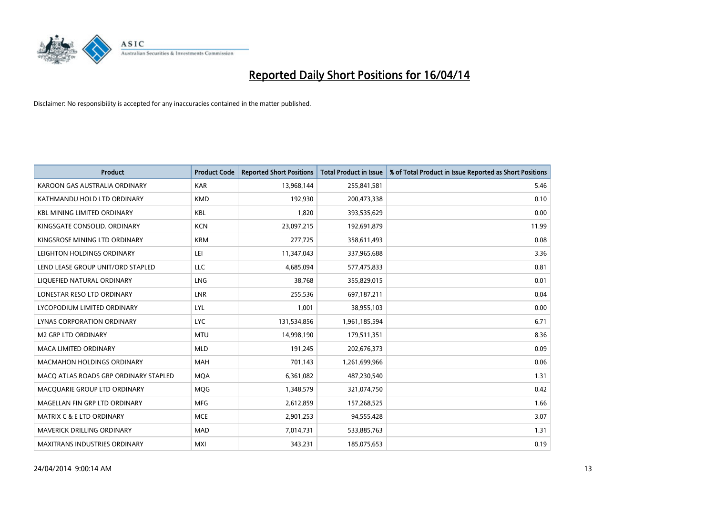

| <b>Product</b>                        | <b>Product Code</b> | <b>Reported Short Positions</b> | <b>Total Product in Issue</b> | % of Total Product in Issue Reported as Short Positions |
|---------------------------------------|---------------------|---------------------------------|-------------------------------|---------------------------------------------------------|
| KAROON GAS AUSTRALIA ORDINARY         | <b>KAR</b>          | 13,968,144                      | 255,841,581                   | 5.46                                                    |
| KATHMANDU HOLD LTD ORDINARY           | <b>KMD</b>          | 192,930                         | 200,473,338                   | 0.10                                                    |
| <b>KBL MINING LIMITED ORDINARY</b>    | <b>KBL</b>          | 1,820                           | 393,535,629                   | 0.00                                                    |
| KINGSGATE CONSOLID. ORDINARY          | <b>KCN</b>          | 23,097,215                      | 192,691,879                   | 11.99                                                   |
| KINGSROSE MINING LTD ORDINARY         | <b>KRM</b>          | 277,725                         | 358,611,493                   | 0.08                                                    |
| LEIGHTON HOLDINGS ORDINARY            | LEI                 | 11,347,043                      | 337,965,688                   | 3.36                                                    |
| LEND LEASE GROUP UNIT/ORD STAPLED     | LLC                 | 4,685,094                       | 577,475,833                   | 0.81                                                    |
| LIQUEFIED NATURAL ORDINARY            | LNG                 | 38,768                          | 355,829,015                   | 0.01                                                    |
| LONESTAR RESO LTD ORDINARY            | <b>LNR</b>          | 255,536                         | 697,187,211                   | 0.04                                                    |
| LYCOPODIUM LIMITED ORDINARY           | LYL                 | 1,001                           | 38,955,103                    | 0.00                                                    |
| LYNAS CORPORATION ORDINARY            | <b>LYC</b>          | 131,534,856                     | 1,961,185,594                 | 6.71                                                    |
| <b>M2 GRP LTD ORDINARY</b>            | <b>MTU</b>          | 14,998,190                      | 179,511,351                   | 8.36                                                    |
| <b>MACA LIMITED ORDINARY</b>          | <b>MLD</b>          | 191,245                         | 202,676,373                   | 0.09                                                    |
| <b>MACMAHON HOLDINGS ORDINARY</b>     | MAH                 | 701,143                         | 1,261,699,966                 | 0.06                                                    |
| MACO ATLAS ROADS GRP ORDINARY STAPLED | <b>MQA</b>          | 6,361,082                       | 487,230,540                   | 1.31                                                    |
| MACQUARIE GROUP LTD ORDINARY          | <b>MOG</b>          | 1,348,579                       | 321,074,750                   | 0.42                                                    |
| MAGELLAN FIN GRP LTD ORDINARY         | <b>MFG</b>          | 2,612,859                       | 157,268,525                   | 1.66                                                    |
| MATRIX C & E LTD ORDINARY             | <b>MCE</b>          | 2,901,253                       | 94,555,428                    | 3.07                                                    |
| MAVERICK DRILLING ORDINARY            | <b>MAD</b>          | 7,014,731                       | 533,885,763                   | 1.31                                                    |
| MAXITRANS INDUSTRIES ORDINARY         | <b>MXI</b>          | 343,231                         | 185,075,653                   | 0.19                                                    |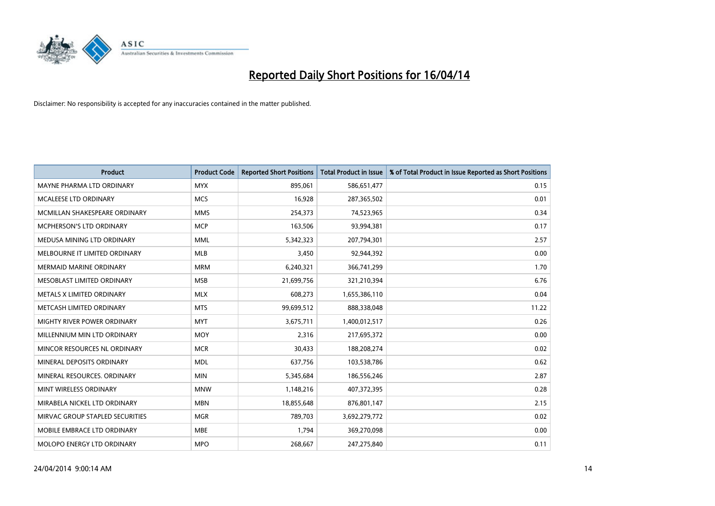

| <b>Product</b>                  | <b>Product Code</b> | <b>Reported Short Positions</b> | <b>Total Product in Issue</b> | % of Total Product in Issue Reported as Short Positions |
|---------------------------------|---------------------|---------------------------------|-------------------------------|---------------------------------------------------------|
| MAYNE PHARMA LTD ORDINARY       | <b>MYX</b>          | 895.061                         | 586,651,477                   | 0.15                                                    |
| <b>MCALEESE LTD ORDINARY</b>    | <b>MCS</b>          | 16,928                          | 287,365,502                   | 0.01                                                    |
| MCMILLAN SHAKESPEARE ORDINARY   | <b>MMS</b>          | 254,373                         | 74,523,965                    | 0.34                                                    |
| MCPHERSON'S LTD ORDINARY        | <b>MCP</b>          | 163,506                         | 93,994,381                    | 0.17                                                    |
| MEDUSA MINING LTD ORDINARY      | <b>MML</b>          | 5,342,323                       | 207,794,301                   | 2.57                                                    |
| MELBOURNE IT LIMITED ORDINARY   | <b>MLB</b>          | 3,450                           | 92,944,392                    | 0.00                                                    |
| <b>MERMAID MARINE ORDINARY</b>  | <b>MRM</b>          | 6,240,321                       | 366,741,299                   | 1.70                                                    |
| MESOBLAST LIMITED ORDINARY      | <b>MSB</b>          | 21,699,756                      | 321,210,394                   | 6.76                                                    |
| METALS X LIMITED ORDINARY       | <b>MLX</b>          | 608,273                         | 1,655,386,110                 | 0.04                                                    |
| METCASH LIMITED ORDINARY        | <b>MTS</b>          | 99,699,512                      | 888,338,048                   | 11.22                                                   |
| MIGHTY RIVER POWER ORDINARY     | <b>MYT</b>          | 3,675,711                       | 1,400,012,517                 | 0.26                                                    |
| MILLENNIUM MIN LTD ORDINARY     | <b>MOY</b>          | 2,316                           | 217,695,372                   | 0.00                                                    |
| MINCOR RESOURCES NL ORDINARY    | <b>MCR</b>          | 30,433                          | 188,208,274                   | 0.02                                                    |
| MINERAL DEPOSITS ORDINARY       | <b>MDL</b>          | 637,756                         | 103,538,786                   | 0.62                                                    |
| MINERAL RESOURCES, ORDINARY     | <b>MIN</b>          | 5,345,684                       | 186,556,246                   | 2.87                                                    |
| MINT WIRELESS ORDINARY          | <b>MNW</b>          | 1,148,216                       | 407,372,395                   | 0.28                                                    |
| MIRABELA NICKEL LTD ORDINARY    | <b>MBN</b>          | 18,855,648                      | 876,801,147                   | 2.15                                                    |
| MIRVAC GROUP STAPLED SECURITIES | <b>MGR</b>          | 789,703                         | 3,692,279,772                 | 0.02                                                    |
| MOBILE EMBRACE LTD ORDINARY     | <b>MBE</b>          | 1,794                           | 369,270,098                   | 0.00                                                    |
| MOLOPO ENERGY LTD ORDINARY      | <b>MPO</b>          | 268,667                         | 247,275,840                   | 0.11                                                    |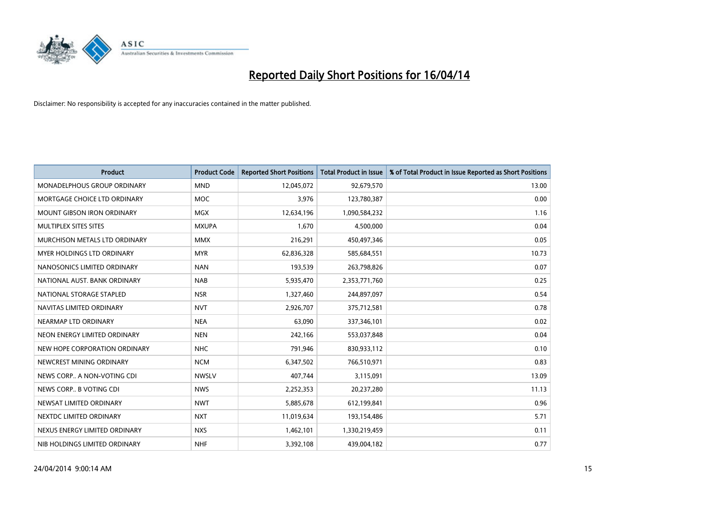

| <b>Product</b>                     | <b>Product Code</b> | <b>Reported Short Positions</b> | <b>Total Product in Issue</b> | % of Total Product in Issue Reported as Short Positions |
|------------------------------------|---------------------|---------------------------------|-------------------------------|---------------------------------------------------------|
| <b>MONADELPHOUS GROUP ORDINARY</b> | <b>MND</b>          | 12,045,072                      | 92,679,570                    | 13.00                                                   |
| MORTGAGE CHOICE LTD ORDINARY       | MOC                 | 3,976                           | 123,780,387                   | 0.00                                                    |
| <b>MOUNT GIBSON IRON ORDINARY</b>  | <b>MGX</b>          | 12,634,196                      | 1,090,584,232                 | 1.16                                                    |
| MULTIPLEX SITES SITES              | <b>MXUPA</b>        | 1,670                           | 4,500,000                     | 0.04                                                    |
| MURCHISON METALS LTD ORDINARY      | <b>MMX</b>          | 216,291                         | 450,497,346                   | 0.05                                                    |
| MYER HOLDINGS LTD ORDINARY         | <b>MYR</b>          | 62,836,328                      | 585,684,551                   | 10.73                                                   |
| NANOSONICS LIMITED ORDINARY        | <b>NAN</b>          | 193,539                         | 263,798,826                   | 0.07                                                    |
| NATIONAL AUST, BANK ORDINARY       | <b>NAB</b>          | 5,935,470                       | 2,353,771,760                 | 0.25                                                    |
| NATIONAL STORAGE STAPLED           | <b>NSR</b>          | 1,327,460                       | 244,897,097                   | 0.54                                                    |
| NAVITAS LIMITED ORDINARY           | <b>NVT</b>          | 2,926,707                       | 375,712,581                   | 0.78                                                    |
| NEARMAP LTD ORDINARY               | <b>NEA</b>          | 63,090                          | 337,346,101                   | 0.02                                                    |
| NEON ENERGY LIMITED ORDINARY       | <b>NEN</b>          | 242,166                         | 553,037,848                   | 0.04                                                    |
| NEW HOPE CORPORATION ORDINARY      | <b>NHC</b>          | 791,946                         | 830,933,112                   | 0.10                                                    |
| NEWCREST MINING ORDINARY           | <b>NCM</b>          | 6,347,502                       | 766,510,971                   | 0.83                                                    |
| NEWS CORP A NON-VOTING CDI         | <b>NWSLV</b>        | 407,744                         | 3,115,091                     | 13.09                                                   |
| NEWS CORP B VOTING CDI             | <b>NWS</b>          | 2,252,353                       | 20,237,280                    | 11.13                                                   |
| NEWSAT LIMITED ORDINARY            | <b>NWT</b>          | 5,885,678                       | 612,199,841                   | 0.96                                                    |
| NEXTDC LIMITED ORDINARY            | <b>NXT</b>          | 11,019,634                      | 193,154,486                   | 5.71                                                    |
| NEXUS ENERGY LIMITED ORDINARY      | <b>NXS</b>          | 1,462,101                       | 1,330,219,459                 | 0.11                                                    |
| NIB HOLDINGS LIMITED ORDINARY      | <b>NHF</b>          | 3,392,108                       | 439,004,182                   | 0.77                                                    |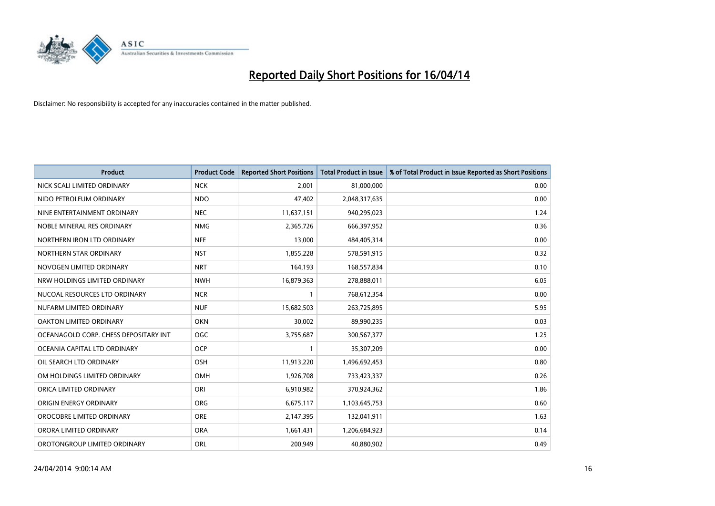

| <b>Product</b>                        | <b>Product Code</b> | <b>Reported Short Positions</b> | <b>Total Product in Issue</b> | % of Total Product in Issue Reported as Short Positions |
|---------------------------------------|---------------------|---------------------------------|-------------------------------|---------------------------------------------------------|
| NICK SCALI LIMITED ORDINARY           | <b>NCK</b>          | 2,001                           | 81,000,000                    | 0.00                                                    |
| NIDO PETROLEUM ORDINARY               | <b>NDO</b>          | 47,402                          | 2,048,317,635                 | 0.00                                                    |
| NINE ENTERTAINMENT ORDINARY           | <b>NEC</b>          | 11,637,151                      | 940,295,023                   | 1.24                                                    |
| NOBLE MINERAL RES ORDINARY            | <b>NMG</b>          | 2,365,726                       | 666,397,952                   | 0.36                                                    |
| NORTHERN IRON LTD ORDINARY            | <b>NFE</b>          | 13,000                          | 484,405,314                   | 0.00                                                    |
| NORTHERN STAR ORDINARY                | <b>NST</b>          | 1,855,228                       | 578,591,915                   | 0.32                                                    |
| NOVOGEN LIMITED ORDINARY              | <b>NRT</b>          | 164,193                         | 168,557,834                   | 0.10                                                    |
| NRW HOLDINGS LIMITED ORDINARY         | <b>NWH</b>          | 16,879,363                      | 278,888,011                   | 6.05                                                    |
| NUCOAL RESOURCES LTD ORDINARY         | <b>NCR</b>          | 1                               | 768,612,354                   | 0.00                                                    |
| NUFARM LIMITED ORDINARY               | <b>NUF</b>          | 15,682,503                      | 263,725,895                   | 5.95                                                    |
| OAKTON LIMITED ORDINARY               | <b>OKN</b>          | 30,002                          | 89,990,235                    | 0.03                                                    |
| OCEANAGOLD CORP. CHESS DEPOSITARY INT | <b>OGC</b>          | 3,755,687                       | 300,567,377                   | 1.25                                                    |
| OCEANIA CAPITAL LTD ORDINARY          | <b>OCP</b>          | $\mathbf{1}$                    | 35,307,209                    | 0.00                                                    |
| OIL SEARCH LTD ORDINARY               | OSH                 | 11,913,220                      | 1,496,692,453                 | 0.80                                                    |
| OM HOLDINGS LIMITED ORDINARY          | <b>OMH</b>          | 1,926,708                       | 733,423,337                   | 0.26                                                    |
| ORICA LIMITED ORDINARY                | ORI                 | 6,910,982                       | 370,924,362                   | 1.86                                                    |
| ORIGIN ENERGY ORDINARY                | ORG                 | 6,675,117                       | 1,103,645,753                 | 0.60                                                    |
| OROCOBRE LIMITED ORDINARY             | <b>ORE</b>          | 2,147,395                       | 132,041,911                   | 1.63                                                    |
| ORORA LIMITED ORDINARY                | <b>ORA</b>          | 1,661,431                       | 1,206,684,923                 | 0.14                                                    |
| OROTONGROUP LIMITED ORDINARY          | ORL                 | 200,949                         | 40,880,902                    | 0.49                                                    |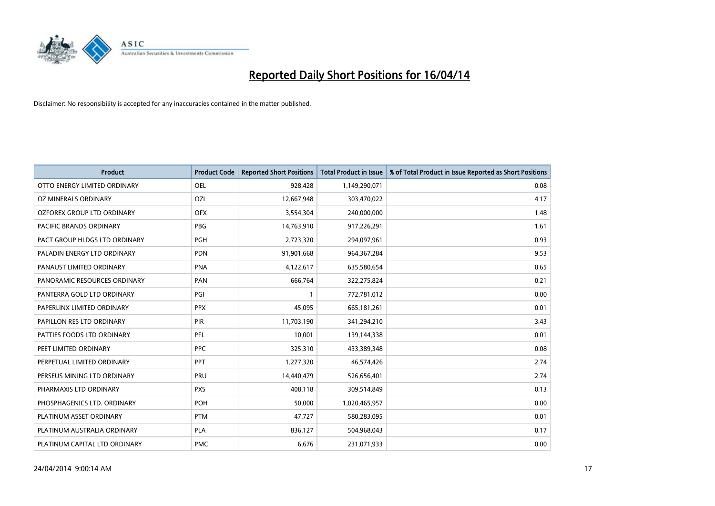

| <b>Product</b>                | <b>Product Code</b> | <b>Reported Short Positions</b> | <b>Total Product in Issue</b> | % of Total Product in Issue Reported as Short Positions |
|-------------------------------|---------------------|---------------------------------|-------------------------------|---------------------------------------------------------|
| OTTO ENERGY LIMITED ORDINARY  | <b>OEL</b>          | 928,428                         | 1,149,290,071                 | 0.08                                                    |
| OZ MINERALS ORDINARY          | OZL                 | 12,667,948                      | 303,470,022                   | 4.17                                                    |
| OZFOREX GROUP LTD ORDINARY    | <b>OFX</b>          | 3,554,304                       | 240,000,000                   | 1.48                                                    |
| PACIFIC BRANDS ORDINARY       | <b>PBG</b>          | 14,763,910                      | 917,226,291                   | 1.61                                                    |
| PACT GROUP HLDGS LTD ORDINARY | <b>PGH</b>          | 2,723,320                       | 294,097,961                   | 0.93                                                    |
| PALADIN ENERGY LTD ORDINARY   | <b>PDN</b>          | 91,901,668                      | 964, 367, 284                 | 9.53                                                    |
| PANAUST LIMITED ORDINARY      | <b>PNA</b>          | 4,122,617                       | 635,580,654                   | 0.65                                                    |
| PANORAMIC RESOURCES ORDINARY  | PAN                 | 666,764                         | 322,275,824                   | 0.21                                                    |
| PANTERRA GOLD LTD ORDINARY    | PGI                 | $\mathbf{1}$                    | 772,781,012                   | 0.00                                                    |
| PAPERLINX LIMITED ORDINARY    | <b>PPX</b>          | 45,095                          | 665, 181, 261                 | 0.01                                                    |
| PAPILLON RES LTD ORDINARY     | <b>PIR</b>          | 11,703,190                      | 341,294,210                   | 3.43                                                    |
| PATTIES FOODS LTD ORDINARY    | PFL                 | 10,001                          | 139,144,338                   | 0.01                                                    |
| PEET LIMITED ORDINARY         | <b>PPC</b>          | 325,310                         | 433,389,348                   | 0.08                                                    |
| PERPETUAL LIMITED ORDINARY    | PPT                 | 1,277,320                       | 46,574,426                    | 2.74                                                    |
| PERSEUS MINING LTD ORDINARY   | PRU                 | 14,440,479                      | 526,656,401                   | 2.74                                                    |
| PHARMAXIS LTD ORDINARY        | <b>PXS</b>          | 408,118                         | 309,514,849                   | 0.13                                                    |
| PHOSPHAGENICS LTD. ORDINARY   | POH                 | 50,000                          | 1,020,465,957                 | 0.00                                                    |
| PLATINUM ASSET ORDINARY       | <b>PTM</b>          | 47,727                          | 580,283,095                   | 0.01                                                    |
| PLATINUM AUSTRALIA ORDINARY   | <b>PLA</b>          | 836,127                         | 504,968,043                   | 0.17                                                    |
| PLATINUM CAPITAL LTD ORDINARY | <b>PMC</b>          | 6,676                           | 231,071,933                   | 0.00                                                    |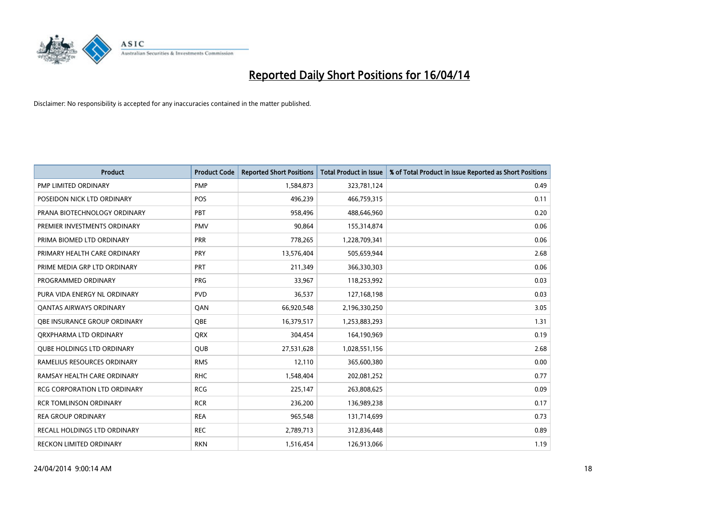

| <b>Product</b>                      | <b>Product Code</b> | <b>Reported Short Positions</b> | <b>Total Product in Issue</b> | % of Total Product in Issue Reported as Short Positions |
|-------------------------------------|---------------------|---------------------------------|-------------------------------|---------------------------------------------------------|
| PMP LIMITED ORDINARY                | <b>PMP</b>          | 1,584,873                       | 323,781,124                   | 0.49                                                    |
| POSEIDON NICK LTD ORDINARY          | <b>POS</b>          | 496,239                         | 466,759,315                   | 0.11                                                    |
| PRANA BIOTECHNOLOGY ORDINARY        | PBT                 | 958,496                         | 488,646,960                   | 0.20                                                    |
| PREMIER INVESTMENTS ORDINARY        | <b>PMV</b>          | 90,864                          | 155,314,874                   | 0.06                                                    |
| PRIMA BIOMED LTD ORDINARY           | <b>PRR</b>          | 778,265                         | 1,228,709,341                 | 0.06                                                    |
| PRIMARY HEALTH CARE ORDINARY        | PRY                 | 13,576,404                      | 505,659,944                   | 2.68                                                    |
| PRIME MEDIA GRP LTD ORDINARY        | <b>PRT</b>          | 211,349                         | 366,330,303                   | 0.06                                                    |
| PROGRAMMED ORDINARY                 | <b>PRG</b>          | 33,967                          | 118,253,992                   | 0.03                                                    |
| PURA VIDA ENERGY NL ORDINARY        | <b>PVD</b>          | 36,537                          | 127,168,198                   | 0.03                                                    |
| <b>QANTAS AIRWAYS ORDINARY</b>      | QAN                 | 66,920,548                      | 2,196,330,250                 | 3.05                                                    |
| <b>OBE INSURANCE GROUP ORDINARY</b> | <b>OBE</b>          | 16,379,517                      | 1,253,883,293                 | 1.31                                                    |
| ORXPHARMA LTD ORDINARY              | QRX                 | 304,454                         | 164,190,969                   | 0.19                                                    |
| <b>QUBE HOLDINGS LTD ORDINARY</b>   | <b>QUB</b>          | 27,531,628                      | 1,028,551,156                 | 2.68                                                    |
| RAMELIUS RESOURCES ORDINARY         | <b>RMS</b>          | 12,110                          | 365,600,380                   | 0.00                                                    |
| RAMSAY HEALTH CARE ORDINARY         | <b>RHC</b>          | 1,548,404                       | 202,081,252                   | 0.77                                                    |
| RCG CORPORATION LTD ORDINARY        | <b>RCG</b>          | 225,147                         | 263,808,625                   | 0.09                                                    |
| <b>RCR TOMLINSON ORDINARY</b>       | <b>RCR</b>          | 236,200                         | 136,989,238                   | 0.17                                                    |
| <b>REA GROUP ORDINARY</b>           | <b>REA</b>          | 965,548                         | 131,714,699                   | 0.73                                                    |
| <b>RECALL HOLDINGS LTD ORDINARY</b> | <b>REC</b>          | 2,789,713                       | 312,836,448                   | 0.89                                                    |
| RECKON LIMITED ORDINARY             | <b>RKN</b>          | 1,516,454                       | 126,913,066                   | 1.19                                                    |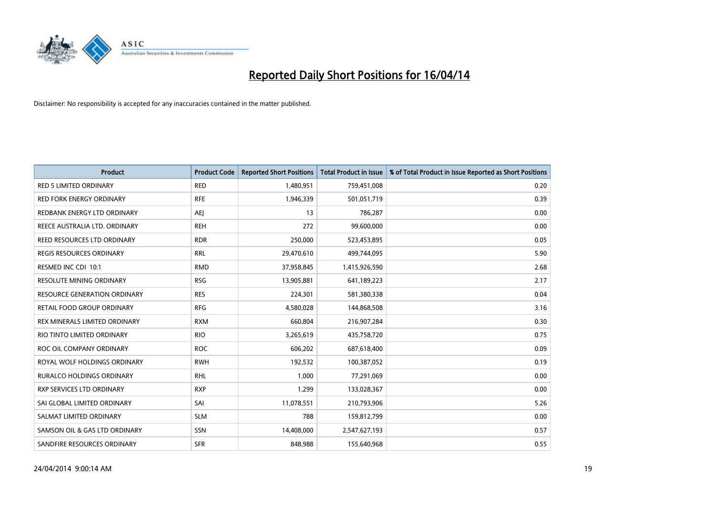

| <b>Product</b>                      | <b>Product Code</b> | <b>Reported Short Positions</b> | <b>Total Product in Issue</b> | % of Total Product in Issue Reported as Short Positions |
|-------------------------------------|---------------------|---------------------------------|-------------------------------|---------------------------------------------------------|
| <b>RED 5 LIMITED ORDINARY</b>       | <b>RED</b>          | 1,480,951                       | 759,451,008                   | 0.20                                                    |
| RED FORK ENERGY ORDINARY            | <b>RFE</b>          | 1,946,339                       | 501,051,719                   | 0.39                                                    |
| REDBANK ENERGY LTD ORDINARY         | AEJ                 | 13                              | 786,287                       | 0.00                                                    |
| REECE AUSTRALIA LTD. ORDINARY       | <b>REH</b>          | 272                             | 99,600,000                    | 0.00                                                    |
| REED RESOURCES LTD ORDINARY         | <b>RDR</b>          | 250,000                         | 523,453,895                   | 0.05                                                    |
| <b>REGIS RESOURCES ORDINARY</b>     | <b>RRL</b>          | 29,470,610                      | 499,744,095                   | 5.90                                                    |
| RESMED INC CDI 10:1                 | <b>RMD</b>          | 37,958,845                      | 1,415,926,590                 | 2.68                                                    |
| RESOLUTE MINING ORDINARY            | <b>RSG</b>          | 13,905,881                      | 641,189,223                   | 2.17                                                    |
| <b>RESOURCE GENERATION ORDINARY</b> | <b>RES</b>          | 224,301                         | 581,380,338                   | 0.04                                                    |
| RETAIL FOOD GROUP ORDINARY          | <b>RFG</b>          | 4,580,028                       | 144,868,508                   | 3.16                                                    |
| REX MINERALS LIMITED ORDINARY       | <b>RXM</b>          | 660,804                         | 216,907,284                   | 0.30                                                    |
| RIO TINTO LIMITED ORDINARY          | <b>RIO</b>          | 3,265,619                       | 435,758,720                   | 0.75                                                    |
| ROC OIL COMPANY ORDINARY            | <b>ROC</b>          | 606,202                         | 687,618,400                   | 0.09                                                    |
| ROYAL WOLF HOLDINGS ORDINARY        | <b>RWH</b>          | 192,532                         | 100,387,052                   | 0.19                                                    |
| <b>RURALCO HOLDINGS ORDINARY</b>    | <b>RHL</b>          | 1,000                           | 77,291,069                    | 0.00                                                    |
| RXP SERVICES LTD ORDINARY           | <b>RXP</b>          | 1,299                           | 133,028,367                   | 0.00                                                    |
| SAI GLOBAL LIMITED ORDINARY         | SAI                 | 11,078,551                      | 210,793,906                   | 5.26                                                    |
| SALMAT LIMITED ORDINARY             | <b>SLM</b>          | 788                             | 159,812,799                   | 0.00                                                    |
| SAMSON OIL & GAS LTD ORDINARY       | SSN                 | 14,408,000                      | 2,547,627,193                 | 0.57                                                    |
| SANDFIRE RESOURCES ORDINARY         | <b>SFR</b>          | 848,988                         | 155,640,968                   | 0.55                                                    |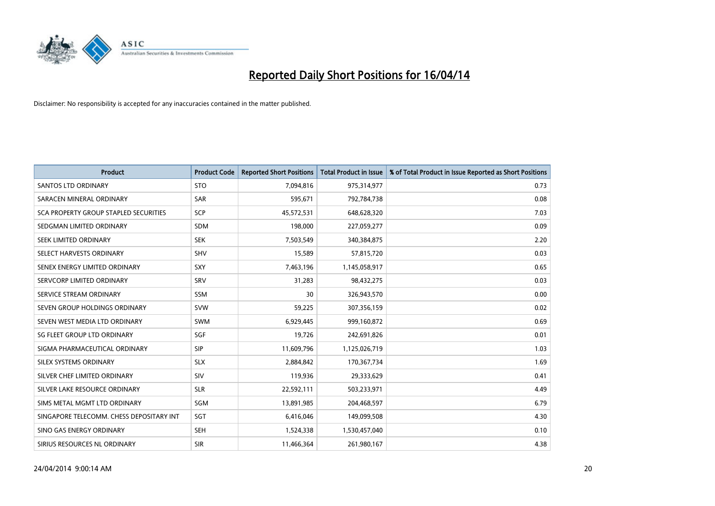

| <b>Product</b>                           | <b>Product Code</b> | <b>Reported Short Positions</b> | <b>Total Product in Issue</b> | % of Total Product in Issue Reported as Short Positions |
|------------------------------------------|---------------------|---------------------------------|-------------------------------|---------------------------------------------------------|
| <b>SANTOS LTD ORDINARY</b>               | <b>STO</b>          | 7,094,816                       | 975,314,977                   | 0.73                                                    |
| SARACEN MINERAL ORDINARY                 | <b>SAR</b>          | 595,671                         | 792,784,738                   | 0.08                                                    |
| SCA PROPERTY GROUP STAPLED SECURITIES    | SCP                 | 45,572,531                      | 648,628,320                   | 7.03                                                    |
| SEDGMAN LIMITED ORDINARY                 | <b>SDM</b>          | 198,000                         | 227,059,277                   | 0.09                                                    |
| SEEK LIMITED ORDINARY                    | <b>SEK</b>          | 7,503,549                       | 340,384,875                   | 2.20                                                    |
| SELECT HARVESTS ORDINARY                 | <b>SHV</b>          | 15,589                          | 57,815,720                    | 0.03                                                    |
| SENEX ENERGY LIMITED ORDINARY            | SXY                 | 7,463,196                       | 1,145,058,917                 | 0.65                                                    |
| SERVCORP LIMITED ORDINARY                | SRV                 | 31,283                          | 98,432,275                    | 0.03                                                    |
| SERVICE STREAM ORDINARY                  | <b>SSM</b>          | 30                              | 326,943,570                   | 0.00                                                    |
| SEVEN GROUP HOLDINGS ORDINARY            | <b>SVW</b>          | 59,225                          | 307,356,159                   | 0.02                                                    |
| SEVEN WEST MEDIA LTD ORDINARY            | <b>SWM</b>          | 6,929,445                       | 999,160,872                   | 0.69                                                    |
| SG FLEET GROUP LTD ORDINARY              | SGF                 | 19,726                          | 242,691,826                   | 0.01                                                    |
| SIGMA PHARMACEUTICAL ORDINARY            | <b>SIP</b>          | 11,609,796                      | 1,125,026,719                 | 1.03                                                    |
| SILEX SYSTEMS ORDINARY                   | <b>SLX</b>          | 2,884,842                       | 170,367,734                   | 1.69                                                    |
| SILVER CHEF LIMITED ORDINARY             | SIV                 | 119,936                         | 29,333,629                    | 0.41                                                    |
| SILVER LAKE RESOURCE ORDINARY            | <b>SLR</b>          | 22,592,111                      | 503,233,971                   | 4.49                                                    |
| SIMS METAL MGMT LTD ORDINARY             | SGM                 | 13,891,985                      | 204,468,597                   | 6.79                                                    |
| SINGAPORE TELECOMM. CHESS DEPOSITARY INT | SGT                 | 6,416,046                       | 149,099,508                   | 4.30                                                    |
| SINO GAS ENERGY ORDINARY                 | <b>SEH</b>          | 1,524,338                       | 1,530,457,040                 | 0.10                                                    |
| SIRIUS RESOURCES NL ORDINARY             | <b>SIR</b>          | 11,466,364                      | 261,980,167                   | 4.38                                                    |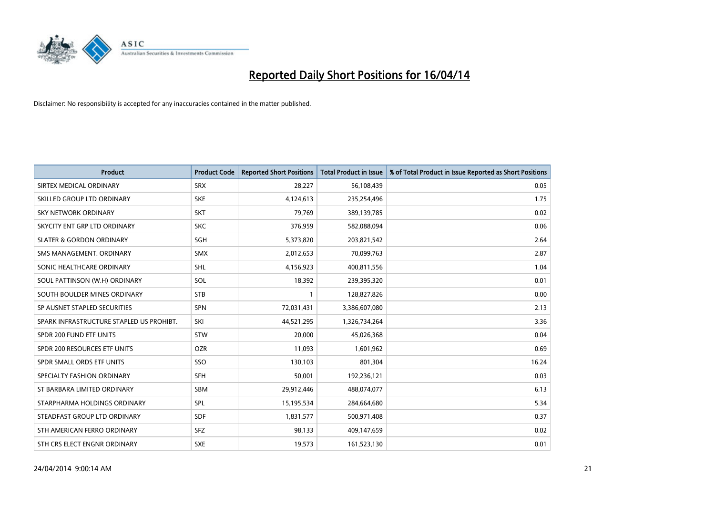

| <b>Product</b>                           | <b>Product Code</b> | <b>Reported Short Positions</b> | <b>Total Product in Issue</b> | % of Total Product in Issue Reported as Short Positions |
|------------------------------------------|---------------------|---------------------------------|-------------------------------|---------------------------------------------------------|
| SIRTEX MEDICAL ORDINARY                  | <b>SRX</b>          | 28,227                          | 56,108,439                    | 0.05                                                    |
| SKILLED GROUP LTD ORDINARY               | <b>SKE</b>          | 4,124,613                       | 235,254,496                   | 1.75                                                    |
| <b>SKY NETWORK ORDINARY</b>              | <b>SKT</b>          | 79,769                          | 389,139,785                   | 0.02                                                    |
| SKYCITY ENT GRP LTD ORDINARY             | <b>SKC</b>          | 376,959                         | 582,088,094                   | 0.06                                                    |
| <b>SLATER &amp; GORDON ORDINARY</b>      | SGH                 | 5,373,820                       | 203,821,542                   | 2.64                                                    |
| SMS MANAGEMENT, ORDINARY                 | <b>SMX</b>          | 2,012,653                       | 70,099,763                    | 2.87                                                    |
| SONIC HEALTHCARE ORDINARY                | <b>SHL</b>          | 4,156,923                       | 400,811,556                   | 1.04                                                    |
| SOUL PATTINSON (W.H) ORDINARY            | SOL                 | 18,392                          | 239,395,320                   | 0.01                                                    |
| SOUTH BOULDER MINES ORDINARY             | <b>STB</b>          | 1                               | 128,827,826                   | 0.00                                                    |
| SP AUSNET STAPLED SECURITIES             | <b>SPN</b>          | 72,031,431                      | 3,386,607,080                 | 2.13                                                    |
| SPARK INFRASTRUCTURE STAPLED US PROHIBT. | SKI                 | 44,521,295                      | 1,326,734,264                 | 3.36                                                    |
| SPDR 200 FUND ETF UNITS                  | <b>STW</b>          | 20,000                          | 45,026,368                    | 0.04                                                    |
| SPDR 200 RESOURCES ETF UNITS             | <b>OZR</b>          | 11,093                          | 1,601,962                     | 0.69                                                    |
| SPDR SMALL ORDS ETF UNITS                | SSO                 | 130,103                         | 801,304                       | 16.24                                                   |
| SPECIALTY FASHION ORDINARY               | <b>SFH</b>          | 50,001                          | 192,236,121                   | 0.03                                                    |
| ST BARBARA LIMITED ORDINARY              | SBM                 | 29,912,446                      | 488,074,077                   | 6.13                                                    |
| STARPHARMA HOLDINGS ORDINARY             | SPL                 | 15,195,534                      | 284,664,680                   | 5.34                                                    |
| STEADFAST GROUP LTD ORDINARY             | <b>SDF</b>          | 1,831,577                       | 500,971,408                   | 0.37                                                    |
| STH AMERICAN FERRO ORDINARY              | <b>SFZ</b>          | 98,133                          | 409,147,659                   | 0.02                                                    |
| STH CRS ELECT ENGNR ORDINARY             | <b>SXE</b>          | 19,573                          | 161,523,130                   | 0.01                                                    |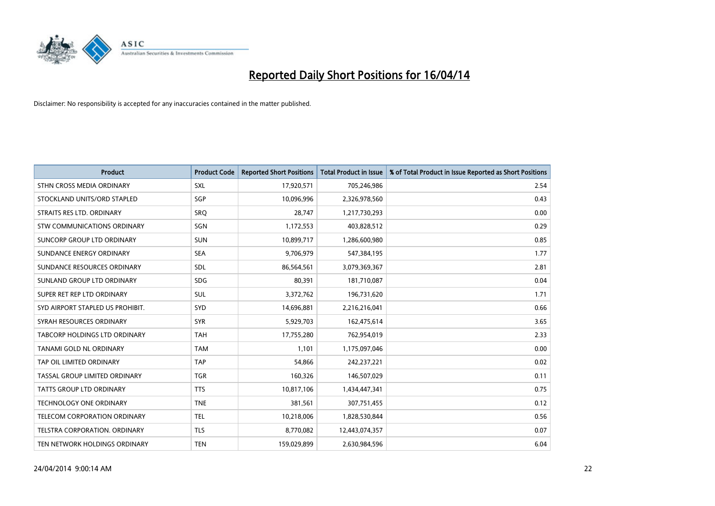

| <b>Product</b>                       | <b>Product Code</b> | <b>Reported Short Positions</b> | <b>Total Product in Issue</b> | % of Total Product in Issue Reported as Short Positions |
|--------------------------------------|---------------------|---------------------------------|-------------------------------|---------------------------------------------------------|
| STHN CROSS MEDIA ORDINARY            | <b>SXL</b>          | 17,920,571                      | 705,246,986                   | 2.54                                                    |
| STOCKLAND UNITS/ORD STAPLED          | SGP                 | 10,096,996                      | 2,326,978,560                 | 0.43                                                    |
| STRAITS RES LTD. ORDINARY            | SRO                 | 28,747                          | 1,217,730,293                 | 0.00                                                    |
| STW COMMUNICATIONS ORDINARY          | SGN                 | 1,172,553                       | 403,828,512                   | 0.29                                                    |
| <b>SUNCORP GROUP LTD ORDINARY</b>    | <b>SUN</b>          | 10,899,717                      | 1,286,600,980                 | 0.85                                                    |
| SUNDANCE ENERGY ORDINARY             | <b>SEA</b>          | 9,706,979                       | 547,384,195                   | 1.77                                                    |
| SUNDANCE RESOURCES ORDINARY          | SDL                 | 86,564,561                      | 3,079,369,367                 | 2.81                                                    |
| SUNLAND GROUP LTD ORDINARY           | <b>SDG</b>          | 80,391                          | 181,710,087                   | 0.04                                                    |
| SUPER RET REP LTD ORDINARY           | <b>SUL</b>          | 3,372,762                       | 196,731,620                   | 1.71                                                    |
| SYD AIRPORT STAPLED US PROHIBIT.     | SYD                 | 14,696,881                      | 2,216,216,041                 | 0.66                                                    |
| SYRAH RESOURCES ORDINARY             | <b>SYR</b>          | 5,929,703                       | 162,475,614                   | 3.65                                                    |
| <b>TABCORP HOLDINGS LTD ORDINARY</b> | <b>TAH</b>          | 17,755,280                      | 762,954,019                   | 2.33                                                    |
| TANAMI GOLD NL ORDINARY              | <b>TAM</b>          | 1,101                           | 1,175,097,046                 | 0.00                                                    |
| TAP OIL LIMITED ORDINARY             | <b>TAP</b>          | 54,866                          | 242,237,221                   | 0.02                                                    |
| TASSAL GROUP LIMITED ORDINARY        | <b>TGR</b>          | 160,326                         | 146,507,029                   | 0.11                                                    |
| TATTS GROUP LTD ORDINARY             | <b>TTS</b>          | 10,817,106                      | 1,434,447,341                 | 0.75                                                    |
| TECHNOLOGY ONE ORDINARY              | <b>TNE</b>          | 381,561                         | 307,751,455                   | 0.12                                                    |
| TELECOM CORPORATION ORDINARY         | <b>TEL</b>          | 10,218,006                      | 1,828,530,844                 | 0.56                                                    |
| TELSTRA CORPORATION, ORDINARY        | <b>TLS</b>          | 8,770,082                       | 12,443,074,357                | 0.07                                                    |
| TEN NETWORK HOLDINGS ORDINARY        | <b>TEN</b>          | 159,029,899                     | 2,630,984,596                 | 6.04                                                    |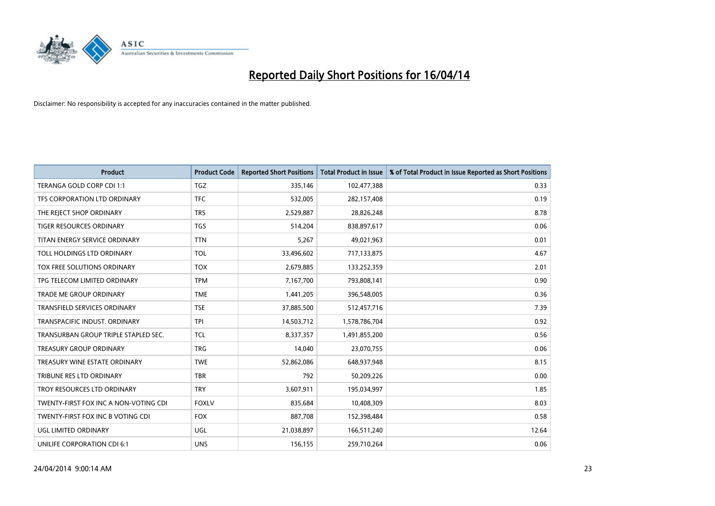

| <b>Product</b>                        | <b>Product Code</b> | <b>Reported Short Positions</b> | <b>Total Product in Issue</b> | % of Total Product in Issue Reported as Short Positions |
|---------------------------------------|---------------------|---------------------------------|-------------------------------|---------------------------------------------------------|
| TERANGA GOLD CORP CDI 1:1             | <b>TGZ</b>          | 335,146                         | 102,477,388                   | 0.33                                                    |
| TFS CORPORATION LTD ORDINARY          | <b>TFC</b>          | 532,005                         | 282,157,408                   | 0.19                                                    |
| THE REJECT SHOP ORDINARY              | <b>TRS</b>          | 2,529,887                       | 28,826,248                    | 8.78                                                    |
| TIGER RESOURCES ORDINARY              | <b>TGS</b>          | 514,204                         | 838,897,617                   | 0.06                                                    |
| TITAN ENERGY SERVICE ORDINARY         | <b>TTN</b>          | 5,267                           | 49,021,963                    | 0.01                                                    |
| TOLL HOLDINGS LTD ORDINARY            | <b>TOL</b>          | 33,496,602                      | 717,133,875                   | 4.67                                                    |
| TOX FREE SOLUTIONS ORDINARY           | <b>TOX</b>          | 2,679,885                       | 133,252,359                   | 2.01                                                    |
| TPG TELECOM LIMITED ORDINARY          | <b>TPM</b>          | 7,167,700                       | 793,808,141                   | 0.90                                                    |
| <b>TRADE ME GROUP ORDINARY</b>        | <b>TME</b>          | 1,441,205                       | 396,548,005                   | 0.36                                                    |
| <b>TRANSFIELD SERVICES ORDINARY</b>   | <b>TSE</b>          | 37,885,500                      | 512,457,716                   | 7.39                                                    |
| TRANSPACIFIC INDUST. ORDINARY         | <b>TPI</b>          | 14,503,712                      | 1,578,786,704                 | 0.92                                                    |
| TRANSURBAN GROUP TRIPLE STAPLED SEC.  | <b>TCL</b>          | 8,337,357                       | 1,491,855,200                 | 0.56                                                    |
| TREASURY GROUP ORDINARY               | <b>TRG</b>          | 14,040                          | 23,070,755                    | 0.06                                                    |
| TREASURY WINE ESTATE ORDINARY         | <b>TWE</b>          | 52,862,086                      | 648,937,948                   | 8.15                                                    |
| TRIBUNE RES LTD ORDINARY              | <b>TBR</b>          | 792                             | 50,209,226                    | 0.00                                                    |
| TROY RESOURCES LTD ORDINARY           | <b>TRY</b>          | 3,607,911                       | 195,034,997                   | 1.85                                                    |
| TWENTY-FIRST FOX INC A NON-VOTING CDI | <b>FOXLV</b>        | 835,684                         | 10,408,309                    | 8.03                                                    |
| TWENTY-FIRST FOX INC B VOTING CDI     | <b>FOX</b>          | 887,708                         | 152,398,484                   | 0.58                                                    |
| UGL LIMITED ORDINARY                  | UGL                 | 21,038,897                      | 166,511,240                   | 12.64                                                   |
| UNILIFE CORPORATION CDI 6:1           | <b>UNS</b>          | 156,155                         | 259,710,264                   | 0.06                                                    |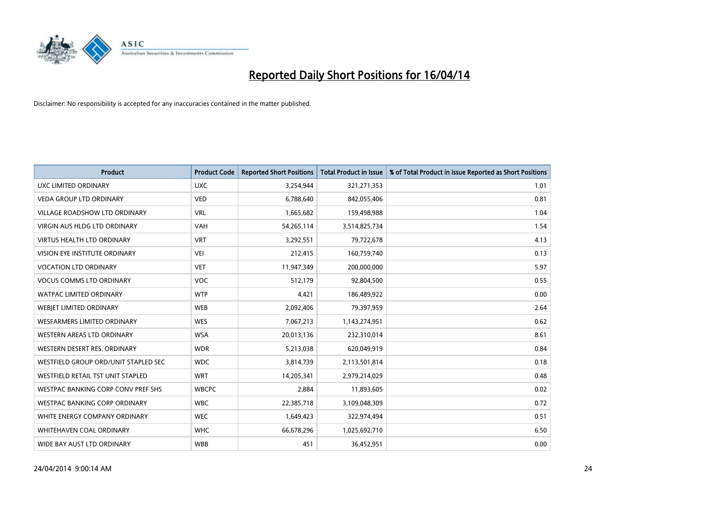

| <b>Product</b>                       | <b>Product Code</b> | <b>Reported Short Positions</b> | <b>Total Product in Issue</b> | % of Total Product in Issue Reported as Short Positions |
|--------------------------------------|---------------------|---------------------------------|-------------------------------|---------------------------------------------------------|
| <b>UXC LIMITED ORDINARY</b>          | <b>UXC</b>          | 3,254,944                       | 321,271,353                   | 1.01                                                    |
| <b>VEDA GROUP LTD ORDINARY</b>       | <b>VED</b>          | 6,788,640                       | 842,055,406                   | 0.81                                                    |
| <b>VILLAGE ROADSHOW LTD ORDINARY</b> | <b>VRL</b>          | 1,665,682                       | 159,498,988                   | 1.04                                                    |
| <b>VIRGIN AUS HLDG LTD ORDINARY</b>  | <b>VAH</b>          | 54,265,114                      | 3,514,825,734                 | 1.54                                                    |
| <b>VIRTUS HEALTH LTD ORDINARY</b>    | <b>VRT</b>          | 3,292,551                       | 79,722,678                    | 4.13                                                    |
| VISION EYE INSTITUTE ORDINARY        | <b>VEI</b>          | 212,415                         | 160,759,740                   | 0.13                                                    |
| <b>VOCATION LTD ORDINARY</b>         | <b>VET</b>          | 11,947,349                      | 200,000,000                   | 5.97                                                    |
| <b>VOCUS COMMS LTD ORDINARY</b>      | <b>VOC</b>          | 512,179                         | 92,804,500                    | 0.55                                                    |
| <b>WATPAC LIMITED ORDINARY</b>       | <b>WTP</b>          | 4,421                           | 186,489,922                   | 0.00                                                    |
| WEBJET LIMITED ORDINARY              | <b>WEB</b>          | 2,092,406                       | 79,397,959                    | 2.64                                                    |
| WESFARMERS LIMITED ORDINARY          | <b>WES</b>          | 7,067,213                       | 1,143,274,951                 | 0.62                                                    |
| WESTERN AREAS LTD ORDINARY           | <b>WSA</b>          | 20,013,136                      | 232,310,014                   | 8.61                                                    |
| WESTERN DESERT RES. ORDINARY         | <b>WDR</b>          | 5,213,038                       | 620,049,919                   | 0.84                                                    |
| WESTFIELD GROUP ORD/UNIT STAPLED SEC | <b>WDC</b>          | 3,814,739                       | 2,113,501,814                 | 0.18                                                    |
| WESTFIELD RETAIL TST UNIT STAPLED    | <b>WRT</b>          | 14,205,341                      | 2,979,214,029                 | 0.48                                                    |
| WESTPAC BANKING CORP CONV PREF SHS   | <b>WBCPC</b>        | 2,884                           | 11,893,605                    | 0.02                                                    |
| WESTPAC BANKING CORP ORDINARY        | <b>WBC</b>          | 22,385,718                      | 3,109,048,309                 | 0.72                                                    |
| WHITE ENERGY COMPANY ORDINARY        | <b>WEC</b>          | 1,649,423                       | 322,974,494                   | 0.51                                                    |
| WHITEHAVEN COAL ORDINARY             | <b>WHC</b>          | 66,678,296                      | 1,025,692,710                 | 6.50                                                    |
| WIDE BAY AUST LTD ORDINARY           | <b>WBB</b>          | 451                             | 36,452,951                    | 0.00                                                    |